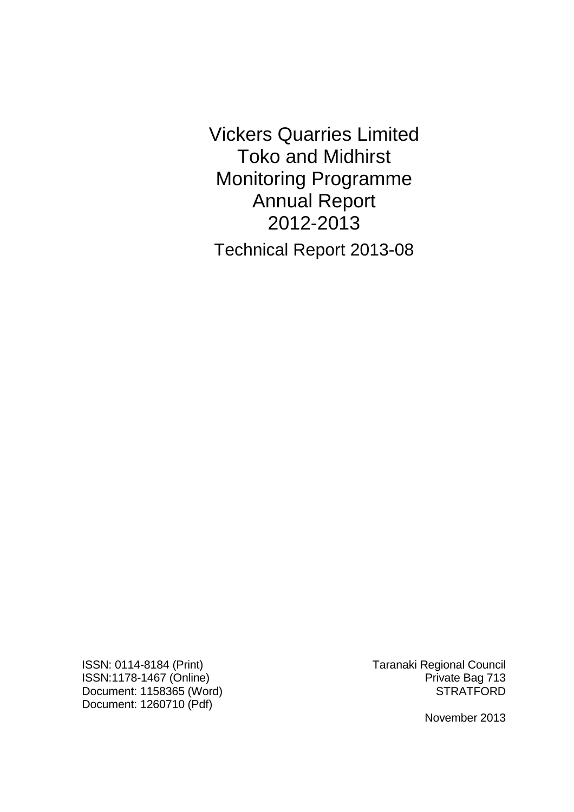Vickers Quarries Limited Toko and Midhirst Monitoring Programme Annual Report 2012-2013 Technical Report 2013-08

ISSN: 0114-8184 (Print) Taranaki Regional Council ISSN:1178-1467 (Online) **Private Bag 713** Document: 1158365 (Word) STRATFORD Document: 1260710 (Pdf)

November 2013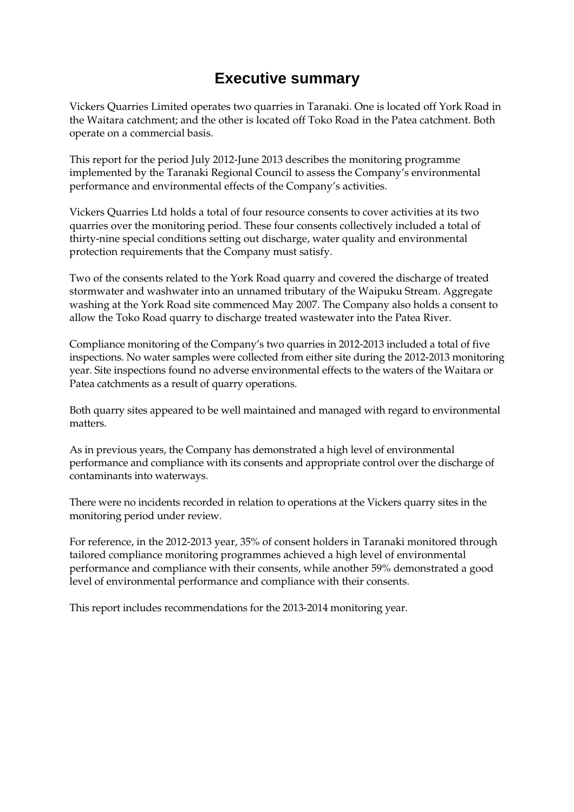# **Executive summary**

Vickers Quarries Limited operates two quarries in Taranaki. One is located off York Road in the Waitara catchment; and the other is located off Toko Road in the Patea catchment. Both operate on a commercial basis.

This report for the period July 2012-June 2013 describes the monitoring programme implemented by the Taranaki Regional Council to assess the Company's environmental performance and environmental effects of the Company's activities.

Vickers Quarries Ltd holds a total of four resource consents to cover activities at its two quarries over the monitoring period. These four consents collectively included a total of thirty-nine special conditions setting out discharge, water quality and environmental protection requirements that the Company must satisfy.

Two of the consents related to the York Road quarry and covered the discharge of treated stormwater and washwater into an unnamed tributary of the Waipuku Stream. Aggregate washing at the York Road site commenced May 2007. The Company also holds a consent to allow the Toko Road quarry to discharge treated wastewater into the Patea River.

Compliance monitoring of the Company's two quarries in 2012-2013 included a total of five inspections. No water samples were collected from either site during the 2012-2013 monitoring year. Site inspections found no adverse environmental effects to the waters of the Waitara or Patea catchments as a result of quarry operations.

Both quarry sites appeared to be well maintained and managed with regard to environmental matters.

As in previous years, the Company has demonstrated a high level of environmental performance and compliance with its consents and appropriate control over the discharge of contaminants into waterways.

There were no incidents recorded in relation to operations at the Vickers quarry sites in the monitoring period under review.

For reference, in the 2012-2013 year, 35% of consent holders in Taranaki monitored through tailored compliance monitoring programmes achieved a high level of environmental performance and compliance with their consents, while another 59% demonstrated a good level of environmental performance and compliance with their consents.

This report includes recommendations for the 2013-2014 monitoring year.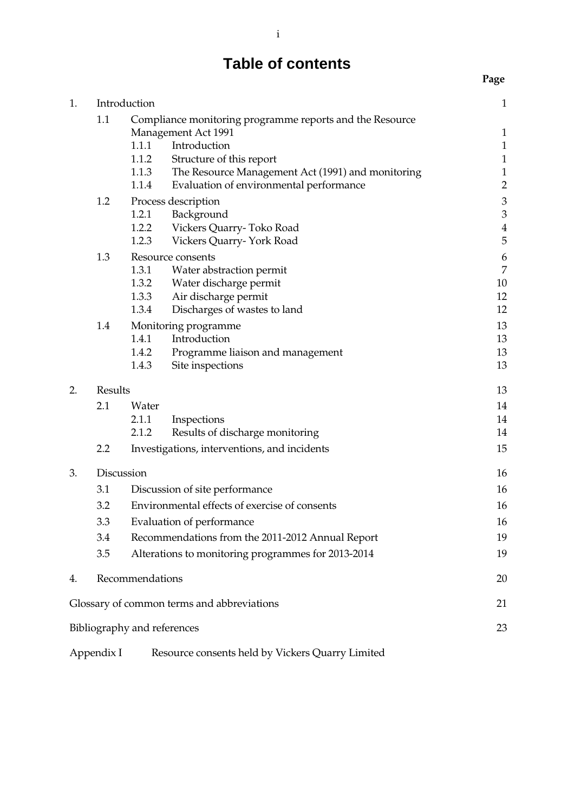# **Table of contents**

| 1. |            | Introduction                                                                                                    | $\mathbf{1}$                 |
|----|------------|-----------------------------------------------------------------------------------------------------------------|------------------------------|
|    | 1.1        | Compliance monitoring programme reports and the Resource<br><b>Management Act 1991</b><br>Introduction<br>1.1.1 | $\mathbf{1}$<br>$\mathbf{1}$ |
|    |            | 1.1.2<br>Structure of this report                                                                               | $\mathbf{1}$                 |
|    |            | 1.1.3<br>The Resource Management Act (1991) and monitoring                                                      | $\mathbf{1}$                 |
|    |            | 1.1.4<br>Evaluation of environmental performance                                                                | $\overline{2}$               |
|    | 1.2        | Process description                                                                                             | $\mathfrak{Z}$               |
|    |            | 1.2.1<br>Background                                                                                             | $\mathfrak{Z}$               |
|    |            | 1.2.2<br>Vickers Quarry-Toko Road<br>1.2.3                                                                      | $\overline{4}$<br>5          |
|    |            | Vickers Quarry-York Road                                                                                        |                              |
|    | 1.3        | Resource consents<br>1.3.1<br>Water abstraction permit                                                          | 6<br>$\boldsymbol{7}$        |
|    |            | 1.3.2<br>Water discharge permit                                                                                 | 10                           |
|    |            | 1.3.3<br>Air discharge permit                                                                                   | 12                           |
|    |            | 1.3.4<br>Discharges of wastes to land                                                                           | 12                           |
|    | 1.4        | Monitoring programme                                                                                            | 13                           |
|    |            | Introduction<br>1.4.1                                                                                           | 13                           |
|    |            | 1.4.2<br>Programme liaison and management                                                                       | 13                           |
|    |            | 1.4.3<br>Site inspections                                                                                       | 13                           |
| 2. | Results    |                                                                                                                 | 13                           |
|    | 2.1        | Water                                                                                                           | 14                           |
|    |            | 2.1.1<br>Inspections                                                                                            | 14                           |
|    |            | 2.1.2<br>Results of discharge monitoring                                                                        | 14                           |
|    | 2.2        | Investigations, interventions, and incidents                                                                    | 15                           |
| 3. | Discussion |                                                                                                                 | 16                           |
|    | 3.1        | Discussion of site performance                                                                                  | 16                           |
|    | 3.2        | Environmental effects of exercise of consents                                                                   |                              |
|    | 3.3        | Evaluation of performance                                                                                       |                              |
|    | 3.4        | Recommendations from the 2011-2012 Annual Report                                                                |                              |
|    | 3.5        | Alterations to monitoring programmes for 2013-2014                                                              | 19                           |
| 4. |            | Recommendations                                                                                                 | 20                           |
|    |            | Glossary of common terms and abbreviations                                                                      | 21                           |
|    |            | Bibliography and references                                                                                     | 23                           |
|    |            |                                                                                                                 |                              |
|    | Appendix I | Resource consents held by Vickers Quarry Limited                                                                |                              |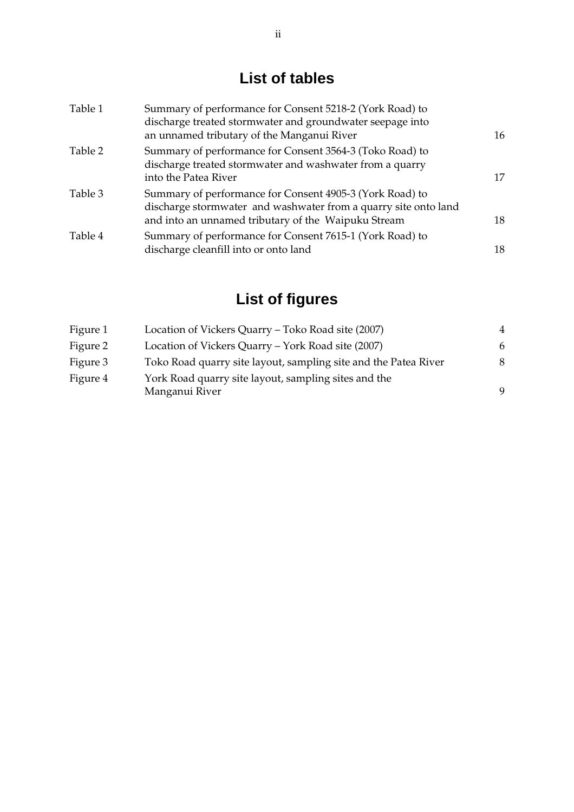# **List of tables**

| Table 1 | Summary of performance for Consent 5218-2 (York Road) to<br>discharge treated stormwater and groundwater seepage into<br>an unnamed tributary of the Manganui River                | 16 |
|---------|------------------------------------------------------------------------------------------------------------------------------------------------------------------------------------|----|
| Table 2 | Summary of performance for Consent 3564-3 (Toko Road) to<br>discharge treated stormwater and washwater from a quarry<br>into the Patea River                                       | 17 |
| Table 3 | Summary of performance for Consent 4905-3 (York Road) to<br>discharge stormwater and washwater from a quarry site onto land<br>and into an unnamed tributary of the Waipuku Stream | 18 |
| Table 4 | Summary of performance for Consent 7615-1 (York Road) to<br>discharge cleanfill into or onto land                                                                                  | 18 |

# **List of figures**

| Location of Vickers Quarry – Toko Road site (2007)                     |   |
|------------------------------------------------------------------------|---|
| Location of Vickers Quarry – York Road site (2007)                     | 6 |
| Toko Road quarry site layout, sampling site and the Patea River        | 8 |
| York Road quarry site layout, sampling sites and the<br>Manganui River | 9 |
|                                                                        |   |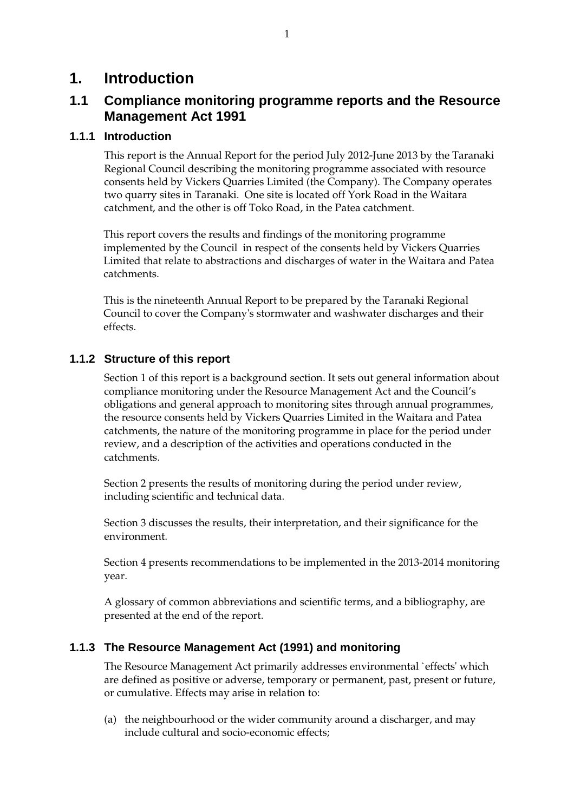### **1. Introduction**

### **1.1 Compliance monitoring programme reports and the Resource Management Act 1991**

#### **1.1.1 Introduction**

This report is the Annual Report for the period July 2012-June 2013 by the Taranaki Regional Council describing the monitoring programme associated with resource consents held by Vickers Quarries Limited (the Company). The Company operates two quarry sites in Taranaki. One site is located off York Road in the Waitara catchment, and the other is off Toko Road, in the Patea catchment.

This report covers the results and findings of the monitoring programme implemented by the Council in respect of the consents held by Vickers Quarries Limited that relate to abstractions and discharges of water in the Waitara and Patea catchments.

This is the nineteenth Annual Report to be prepared by the Taranaki Regional Council to cover the Company's stormwater and washwater discharges and their effects.

#### **1.1.2 Structure of this report**

Section 1 of this report is a background section. It sets out general information about compliance monitoring under the Resource Management Act and the Council's obligations and general approach to monitoring sites through annual programmes, the resource consents held by Vickers Quarries Limited in the Waitara and Patea catchments, the nature of the monitoring programme in place for the period under review, and a description of the activities and operations conducted in the catchments.

Section 2 presents the results of monitoring during the period under review, including scientific and technical data.

Section 3 discusses the results, their interpretation, and their significance for the environment.

Section 4 presents recommendations to be implemented in the 2013-2014 monitoring year.

A glossary of common abbreviations and scientific terms, and a bibliography, are presented at the end of the report.

### **1.1.3 The Resource Management Act (1991) and monitoring**

The Resource Management Act primarily addresses environmental `effects' which are defined as positive or adverse, temporary or permanent, past, present or future, or cumulative. Effects may arise in relation to:

(a) the neighbourhood or the wider community around a discharger, and may include cultural and socio-economic effects;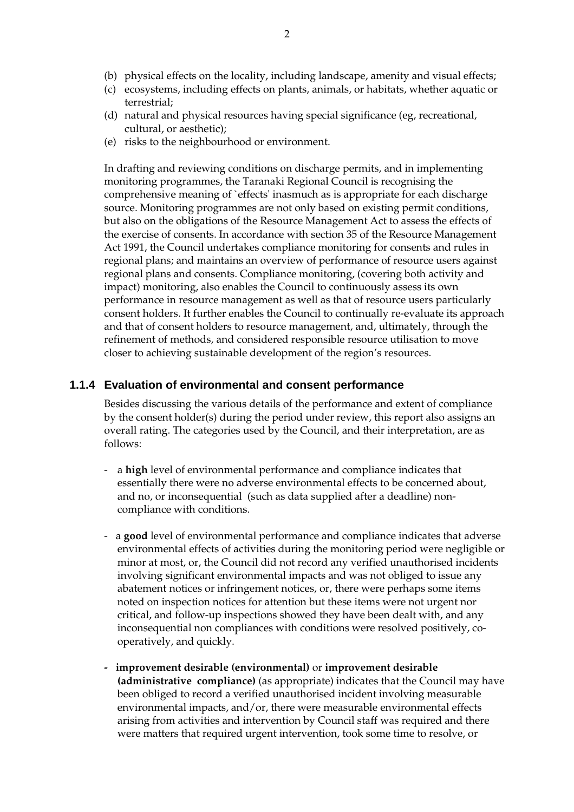- (b) physical effects on the locality, including landscape, amenity and visual effects;
- (c) ecosystems, including effects on plants, animals, or habitats, whether aquatic or terrestrial;
- (d) natural and physical resources having special significance (eg, recreational, cultural, or aesthetic);
- (e) risks to the neighbourhood or environment.

In drafting and reviewing conditions on discharge permits, and in implementing monitoring programmes, the Taranaki Regional Council is recognising the comprehensive meaning of `effects' inasmuch as is appropriate for each discharge source. Monitoring programmes are not only based on existing permit conditions, but also on the obligations of the Resource Management Act to assess the effects of the exercise of consents. In accordance with section 35 of the Resource Management Act 1991, the Council undertakes compliance monitoring for consents and rules in regional plans; and maintains an overview of performance of resource users against regional plans and consents. Compliance monitoring, (covering both activity and impact) monitoring, also enables the Council to continuously assess its own performance in resource management as well as that of resource users particularly consent holders. It further enables the Council to continually re-evaluate its approach and that of consent holders to resource management, and, ultimately, through the refinement of methods, and considered responsible resource utilisation to move closer to achieving sustainable development of the region's resources.

#### **1.1.4 Evaluation of environmental and consent performance**

Besides discussing the various details of the performance and extent of compliance by the consent holder(s) during the period under review, this report also assigns an overall rating. The categories used by the Council, and their interpretation, are as follows:

- a **high** level of environmental performance and compliance indicates that essentially there were no adverse environmental effects to be concerned about, and no, or inconsequential (such as data supplied after a deadline) noncompliance with conditions.
- a **good** level of environmental performance and compliance indicates that adverse environmental effects of activities during the monitoring period were negligible or minor at most, or, the Council did not record any verified unauthorised incidents involving significant environmental impacts and was not obliged to issue any abatement notices or infringement notices, or, there were perhaps some items noted on inspection notices for attention but these items were not urgent nor critical, and follow-up inspections showed they have been dealt with, and any inconsequential non compliances with conditions were resolved positively, cooperatively, and quickly.
- **improvement desirable (environmental)** or **improvement desirable (administrative compliance)** (as appropriate) indicates that the Council may have been obliged to record a verified unauthorised incident involving measurable environmental impacts, and/or, there were measurable environmental effects arising from activities and intervention by Council staff was required and there were matters that required urgent intervention, took some time to resolve, or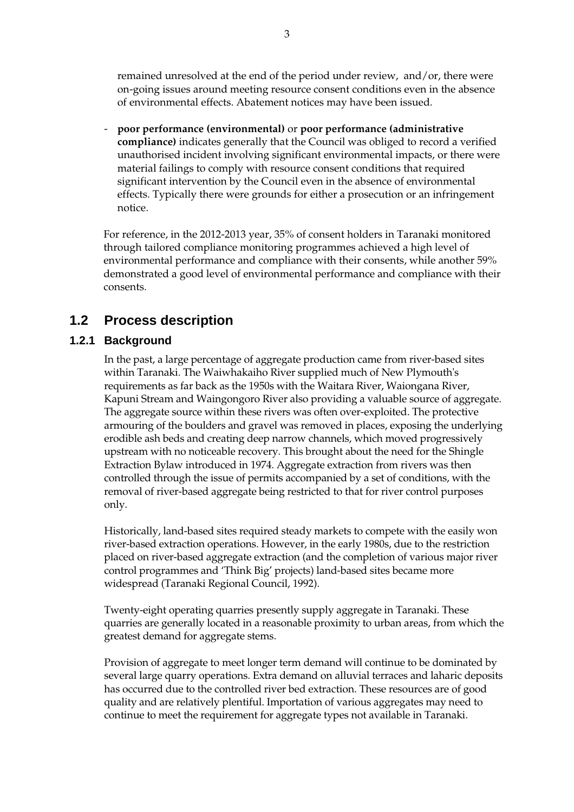remained unresolved at the end of the period under review, and/or, there were on-going issues around meeting resource consent conditions even in the absence of environmental effects. Abatement notices may have been issued.

- **poor performance (environmental)** or **poor performance (administrative compliance)** indicates generally that the Council was obliged to record a verified unauthorised incident involving significant environmental impacts, or there were material failings to comply with resource consent conditions that required significant intervention by the Council even in the absence of environmental effects. Typically there were grounds for either a prosecution or an infringement notice.

For reference, in the 2012-2013 year, 35% of consent holders in Taranaki monitored through tailored compliance monitoring programmes achieved a high level of environmental performance and compliance with their consents, while another 59% demonstrated a good level of environmental performance and compliance with their consents.

### **1.2 Process description**

#### **1.2.1 Background**

 In the past, a large percentage of aggregate production came from river-based sites within Taranaki. The Waiwhakaiho River supplied much of New Plymouth's requirements as far back as the 1950s with the Waitara River, Waiongana River, Kapuni Stream and Waingongoro River also providing a valuable source of aggregate. The aggregate source within these rivers was often over-exploited. The protective armouring of the boulders and gravel was removed in places, exposing the underlying erodible ash beds and creating deep narrow channels, which moved progressively upstream with no noticeable recovery. This brought about the need for the Shingle Extraction Bylaw introduced in 1974. Aggregate extraction from rivers was then controlled through the issue of permits accompanied by a set of conditions, with the removal of river-based aggregate being restricted to that for river control purposes only.

 Historically, land-based sites required steady markets to compete with the easily won river-based extraction operations. However, in the early 1980s, due to the restriction placed on river-based aggregate extraction (and the completion of various major river control programmes and 'Think Big' projects) land-based sites became more widespread (Taranaki Regional Council, 1992).

 Twenty-eight operating quarries presently supply aggregate in Taranaki. These quarries are generally located in a reasonable proximity to urban areas, from which the greatest demand for aggregate stems.

 Provision of aggregate to meet longer term demand will continue to be dominated by several large quarry operations. Extra demand on alluvial terraces and laharic deposits has occurred due to the controlled river bed extraction. These resources are of good quality and are relatively plentiful. Importation of various aggregates may need to continue to meet the requirement for aggregate types not available in Taranaki.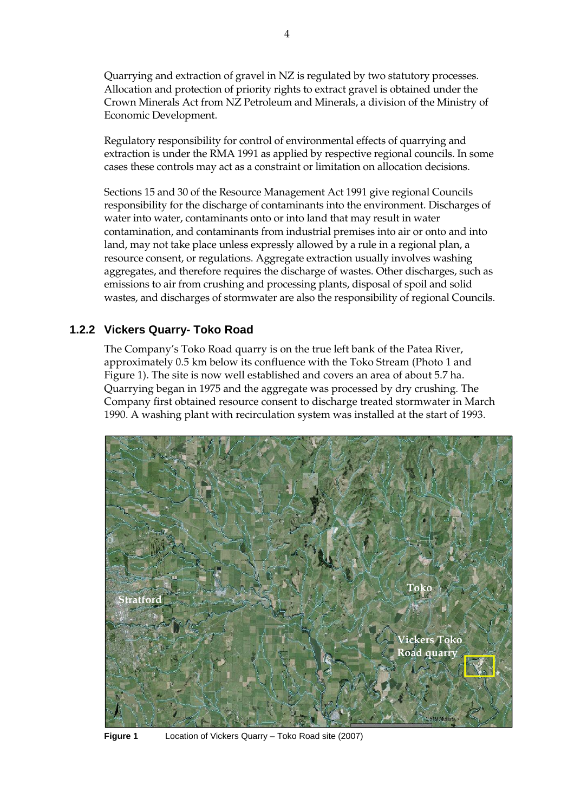Quarrying and extraction of gravel in NZ is regulated by two statutory processes. Allocation and protection of priority rights to extract gravel is obtained under the Crown Minerals Act from NZ Petroleum and Minerals, a division of the Ministry of Economic Development.

 Regulatory responsibility for control of environmental effects of quarrying and extraction is under the RMA 1991 as applied by respective regional councils. In some cases these controls may act as a constraint or limitation on allocation decisions.

 Sections 15 and 30 of the Resource Management Act 1991 give regional Councils responsibility for the discharge of contaminants into the environment. Discharges of water into water, contaminants onto or into land that may result in water contamination, and contaminants from industrial premises into air or onto and into land, may not take place unless expressly allowed by a rule in a regional plan, a resource consent, or regulations. Aggregate extraction usually involves washing aggregates, and therefore requires the discharge of wastes. Other discharges, such as emissions to air from crushing and processing plants, disposal of spoil and solid wastes, and discharges of stormwater are also the responsibility of regional Councils.

#### **1.2.2 Vickers Quarry- Toko Road**

The Company's Toko Road quarry is on the true left bank of the Patea River, approximately 0.5 km below its confluence with the Toko Stream (Photo 1 and Figure 1). The site is now well established and covers an area of about 5.7 ha. Quarrying began in 1975 and the aggregate was processed by dry crushing. The Company first obtained resource consent to discharge treated stormwater in March 1990. A washing plant with recirculation system was installed at the start of 1993.



**Figure 1** Location of Vickers Quarry – Toko Road site (2007)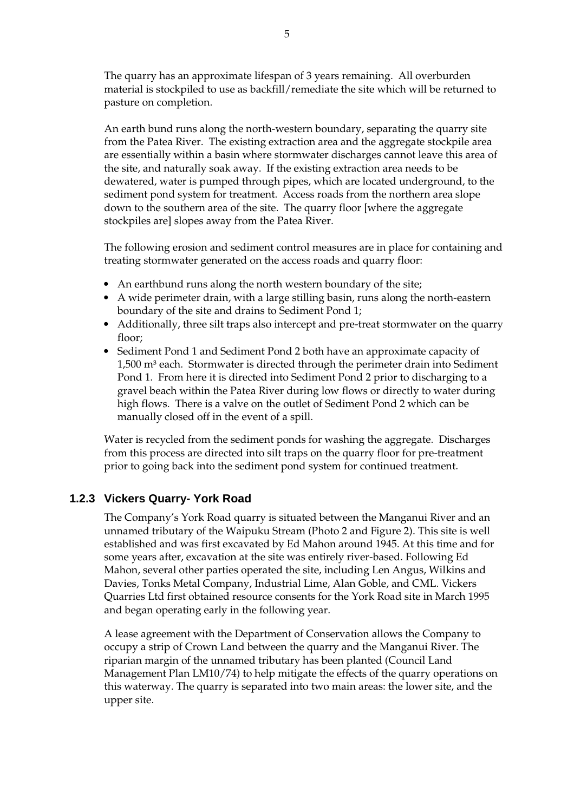The quarry has an approximate lifespan of 3 years remaining. All overburden material is stockpiled to use as backfill/remediate the site which will be returned to pasture on completion.

An earth bund runs along the north-western boundary, separating the quarry site from the Patea River. The existing extraction area and the aggregate stockpile area are essentially within a basin where stormwater discharges cannot leave this area of the site, and naturally soak away. If the existing extraction area needs to be dewatered, water is pumped through pipes, which are located underground, to the sediment pond system for treatment. Access roads from the northern area slope down to the southern area of the site. The quarry floor [where the aggregate stockpiles are] slopes away from the Patea River.

The following erosion and sediment control measures are in place for containing and treating stormwater generated on the access roads and quarry floor:

- An earthbund runs along the north western boundary of the site;
- A wide perimeter drain, with a large stilling basin, runs along the north-eastern boundary of the site and drains to Sediment Pond 1;
- Additionally, three silt traps also intercept and pre-treat stormwater on the quarry floor;
- Sediment Pond 1 and Sediment Pond 2 both have an approximate capacity of  $1,500$  m<sup>3</sup> each. Stormwater is directed through the perimeter drain into Sediment Pond 1. From here it is directed into Sediment Pond 2 prior to discharging to a gravel beach within the Patea River during low flows or directly to water during high flows. There is a valve on the outlet of Sediment Pond 2 which can be manually closed off in the event of a spill.

Water is recycled from the sediment ponds for washing the aggregate. Discharges from this process are directed into silt traps on the quarry floor for pre-treatment prior to going back into the sediment pond system for continued treatment.

#### **1.2.3 Vickers Quarry- York Road**

The Company's York Road quarry is situated between the Manganui River and an unnamed tributary of the Waipuku Stream (Photo 2 and Figure 2). This site is well established and was first excavated by Ed Mahon around 1945. At this time and for some years after, excavation at the site was entirely river-based. Following Ed Mahon, several other parties operated the site, including Len Angus, Wilkins and Davies, Tonks Metal Company, Industrial Lime, Alan Goble, and CML. Vickers Quarries Ltd first obtained resource consents for the York Road site in March 1995 and began operating early in the following year.

A lease agreement with the Department of Conservation allows the Company to occupy a strip of Crown Land between the quarry and the Manganui River. The riparian margin of the unnamed tributary has been planted (Council Land Management Plan LM10/74) to help mitigate the effects of the quarry operations on this waterway. The quarry is separated into two main areas: the lower site, and the upper site.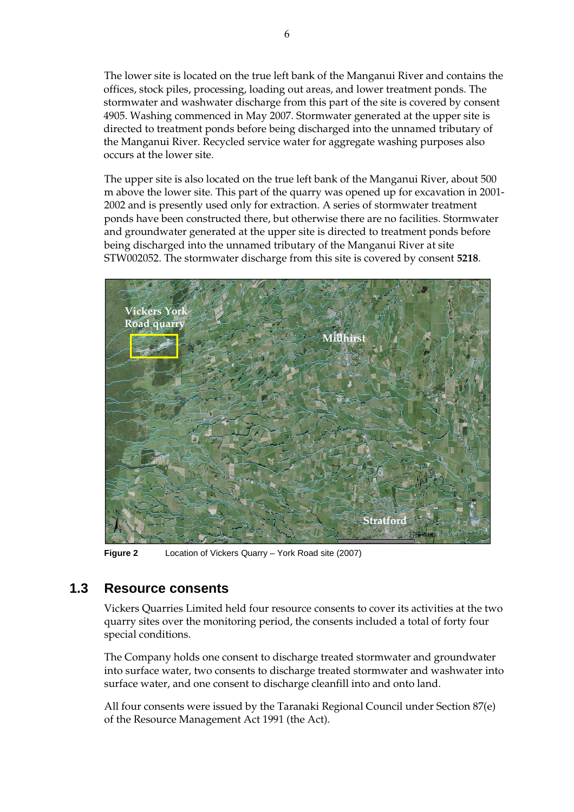The lower site is located on the true left bank of the Manganui River and contains the offices, stock piles, processing, loading out areas, and lower treatment ponds. The stormwater and washwater discharge from this part of the site is covered by consent 4905. Washing commenced in May 2007. Stormwater generated at the upper site is directed to treatment ponds before being discharged into the unnamed tributary of the Manganui River. Recycled service water for aggregate washing purposes also occurs at the lower site.

 The upper site is also located on the true left bank of the Manganui River, about 500 m above the lower site. This part of the quarry was opened up for excavation in 2001- 2002 and is presently used only for extraction. A series of stormwater treatment ponds have been constructed there, but otherwise there are no facilities. Stormwater and groundwater generated at the upper site is directed to treatment ponds before being discharged into the unnamed tributary of the Manganui River at site STW002052. The stormwater discharge from this site is covered by consent **5218**.



**Figure 2** Location of Vickers Quarry – York Road site (2007)

### **1.3 Resource consents**

Vickers Quarries Limited held four resource consents to cover its activities at the two quarry sites over the monitoring period, the consents included a total of forty four special conditions.

The Company holds one consent to discharge treated stormwater and groundwater into surface water, two consents to discharge treated stormwater and washwater into surface water, and one consent to discharge cleanfill into and onto land.

All four consents were issued by the Taranaki Regional Council under Section 87(e) of the Resource Management Act 1991 (the Act).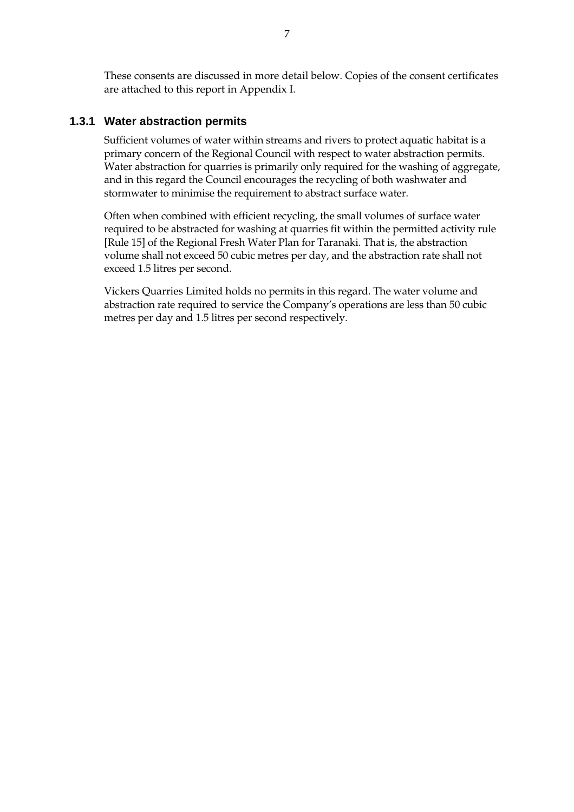These consents are discussed in more detail below. Copies of the consent certificates are attached to this report in Appendix I.

#### **1.3.1 Water abstraction permits**

Sufficient volumes of water within streams and rivers to protect aquatic habitat is a primary concern of the Regional Council with respect to water abstraction permits. Water abstraction for quarries is primarily only required for the washing of aggregate, and in this regard the Council encourages the recycling of both washwater and stormwater to minimise the requirement to abstract surface water.

Often when combined with efficient recycling, the small volumes of surface water required to be abstracted for washing at quarries fit within the permitted activity rule [Rule 15] of the Regional Fresh Water Plan for Taranaki. That is, the abstraction volume shall not exceed 50 cubic metres per day, and the abstraction rate shall not exceed 1.5 litres per second.

Vickers Quarries Limited holds no permits in this regard. The water volume and abstraction rate required to service the Company's operations are less than 50 cubic metres per day and 1.5 litres per second respectively.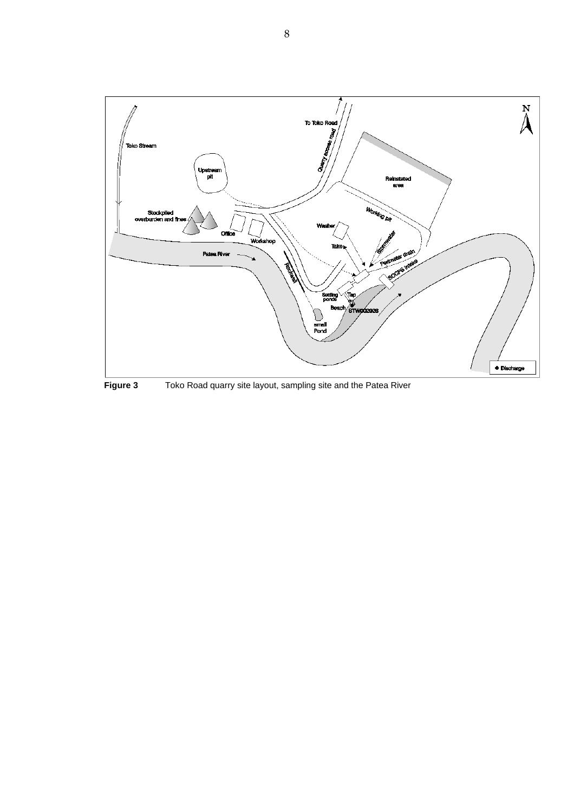

**Figure 3** Toko Road quarry site layout, sampling site and the Patea River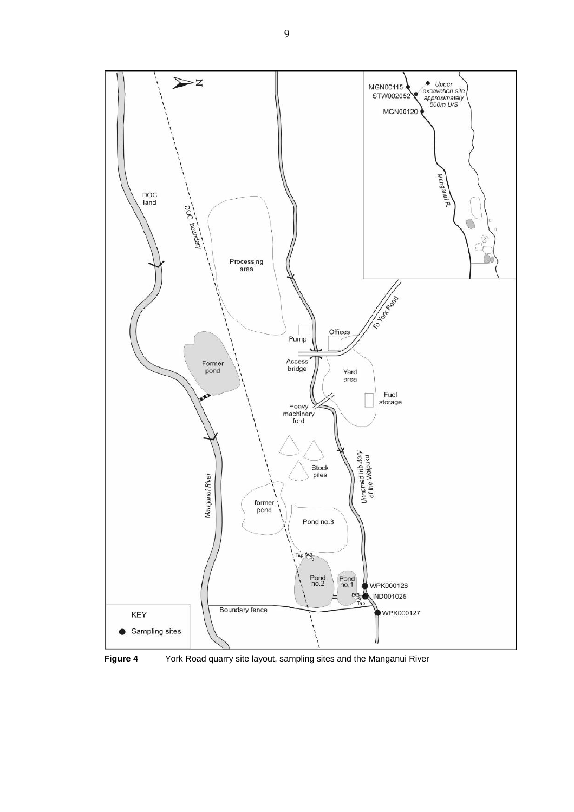

**Figure 4** York Road quarry site layout, sampling sites and the Manganui River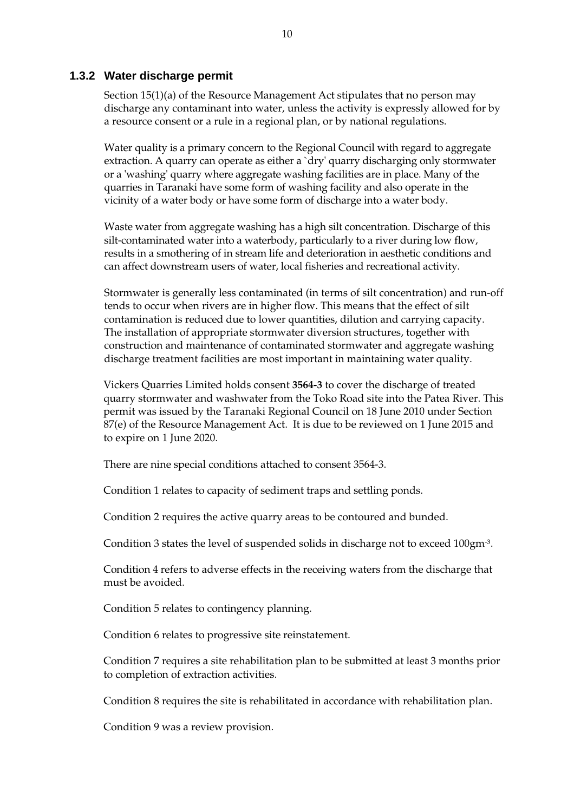#### **1.3.2 Water discharge permit**

Section 15(1)(a) of the Resource Management Act stipulates that no person may discharge any contaminant into water, unless the activity is expressly allowed for by a resource consent or a rule in a regional plan, or by national regulations.

Water quality is a primary concern to the Regional Council with regard to aggregate extraction. A quarry can operate as either a `dry' quarry discharging only stormwater or a 'washing' quarry where aggregate washing facilities are in place. Many of the quarries in Taranaki have some form of washing facility and also operate in the vicinity of a water body or have some form of discharge into a water body.

Waste water from aggregate washing has a high silt concentration. Discharge of this silt-contaminated water into a waterbody, particularly to a river during low flow, results in a smothering of in stream life and deterioration in aesthetic conditions and can affect downstream users of water, local fisheries and recreational activity.

Stormwater is generally less contaminated (in terms of silt concentration) and run-off tends to occur when rivers are in higher flow. This means that the effect of silt contamination is reduced due to lower quantities, dilution and carrying capacity. The installation of appropriate stormwater diversion structures, together with construction and maintenance of contaminated stormwater and aggregate washing discharge treatment facilities are most important in maintaining water quality.

Vickers Quarries Limited holds consent **3564-3** to cover the discharge of treated quarry stormwater and washwater from the Toko Road site into the Patea River. This permit was issued by the Taranaki Regional Council on 18 June 2010 under Section 87(e) of the Resource Management Act. It is due to be reviewed on 1 June 2015 and to expire on 1 June 2020.

There are nine special conditions attached to consent 3564-3.

Condition 1 relates to capacity of sediment traps and settling ponds.

Condition 2 requires the active quarry areas to be contoured and bunded.

Condition 3 states the level of suspended solids in discharge not to exceed 100gm- ³.

Condition 4 refers to adverse effects in the receiving waters from the discharge that must be avoided.

Condition 5 relates to contingency planning.

Condition 6 relates to progressive site reinstatement.

Condition 7 requires a site rehabilitation plan to be submitted at least 3 months prior to completion of extraction activities.

Condition 8 requires the site is rehabilitated in accordance with rehabilitation plan.

Condition 9 was a review provision.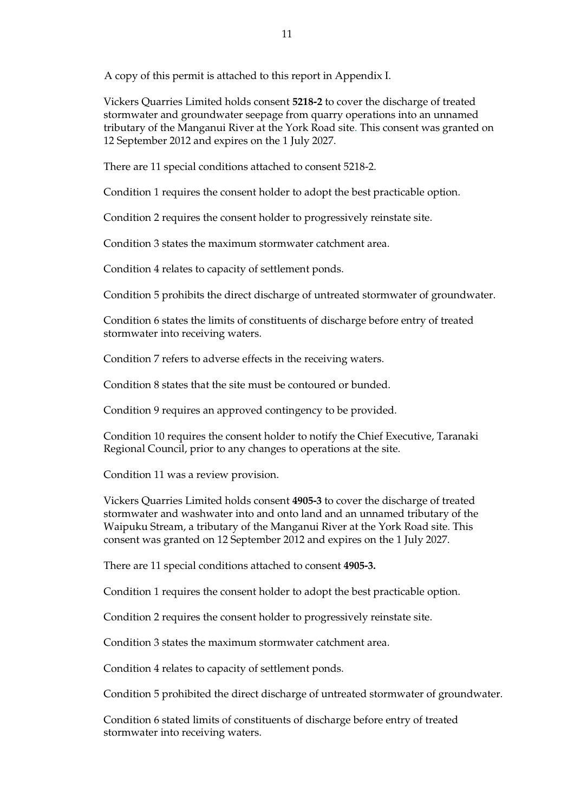A copy of this permit is attached to this report in Appendix I.

Vickers Quarries Limited holds consent **5218-2** to cover the discharge of treated stormwater and groundwater seepage from quarry operations into an unnamed tributary of the Manganui River at the York Road site. This consent was granted on 12 September 2012 and expires on the 1 July 2027.

There are 11 special conditions attached to consent 5218-2.

Condition 1 requires the consent holder to adopt the best practicable option.

Condition 2 requires the consent holder to progressively reinstate site.

Condition 3 states the maximum stormwater catchment area.

Condition 4 relates to capacity of settlement ponds.

Condition 5 prohibits the direct discharge of untreated stormwater of groundwater.

Condition 6 states the limits of constituents of discharge before entry of treated stormwater into receiving waters.

Condition 7 refers to adverse effects in the receiving waters.

Condition 8 states that the site must be contoured or bunded.

Condition 9 requires an approved contingency to be provided.

Condition 10 requires the consent holder to notify the Chief Executive, Taranaki Regional Council, prior to any changes to operations at the site.

Condition 11 was a review provision.

Vickers Quarries Limited holds consent **4905-3** to cover the discharge of treated stormwater and washwater into and onto land and an unnamed tributary of the Waipuku Stream, a tributary of the Manganui River at the York Road site. This consent was granted on 12 September 2012 and expires on the 1 July 2027.

There are 11 special conditions attached to consent **4905-3.**

Condition 1 requires the consent holder to adopt the best practicable option.

Condition 2 requires the consent holder to progressively reinstate site.

Condition 3 states the maximum stormwater catchment area.

Condition 4 relates to capacity of settlement ponds.

Condition 5 prohibited the direct discharge of untreated stormwater of groundwater.

Condition 6 stated limits of constituents of discharge before entry of treated stormwater into receiving waters.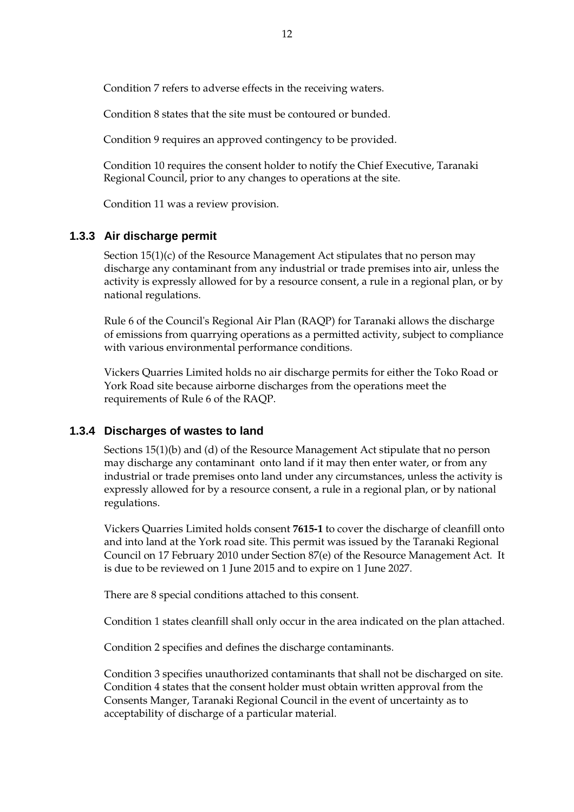Condition 7 refers to adverse effects in the receiving waters.

Condition 8 states that the site must be contoured or bunded.

Condition 9 requires an approved contingency to be provided.

Condition 10 requires the consent holder to notify the Chief Executive, Taranaki Regional Council, prior to any changes to operations at the site.

Condition 11 was a review provision.

#### **1.3.3 Air discharge permit**

 Section 15(1)(c) of the Resource Management Act stipulates that no person may discharge any contaminant from any industrial or trade premises into air, unless the activity is expressly allowed for by a resource consent, a rule in a regional plan, or by national regulations.

Rule 6 of the Council's Regional Air Plan (RAQP) for Taranaki allows the discharge of emissions from quarrying operations as a permitted activity, subject to compliance with various environmental performance conditions.

Vickers Quarries Limited holds no air discharge permits for either the Toko Road or York Road site because airborne discharges from the operations meet the requirements of Rule 6 of the RAQP.

#### **1.3.4 Discharges of wastes to land**

Sections 15(1)(b) and (d) of the Resource Management Act stipulate that no person may discharge any contaminant onto land if it may then enter water, or from any industrial or trade premises onto land under any circumstances, unless the activity is expressly allowed for by a resource consent, a rule in a regional plan, or by national regulations.

Vickers Quarries Limited holds consent **7615-1** to cover the discharge of cleanfill onto and into land at the York road site. This permit was issued by the Taranaki Regional Council on 17 February 2010 under Section 87(e) of the Resource Management Act. It is due to be reviewed on 1 June 2015 and to expire on 1 June 2027.

There are 8 special conditions attached to this consent.

Condition 1 states cleanfill shall only occur in the area indicated on the plan attached.

Condition 2 specifies and defines the discharge contaminants.

 Condition 3 specifies unauthorized contaminants that shall not be discharged on site. Condition 4 states that the consent holder must obtain written approval from the Consents Manger, Taranaki Regional Council in the event of uncertainty as to acceptability of discharge of a particular material.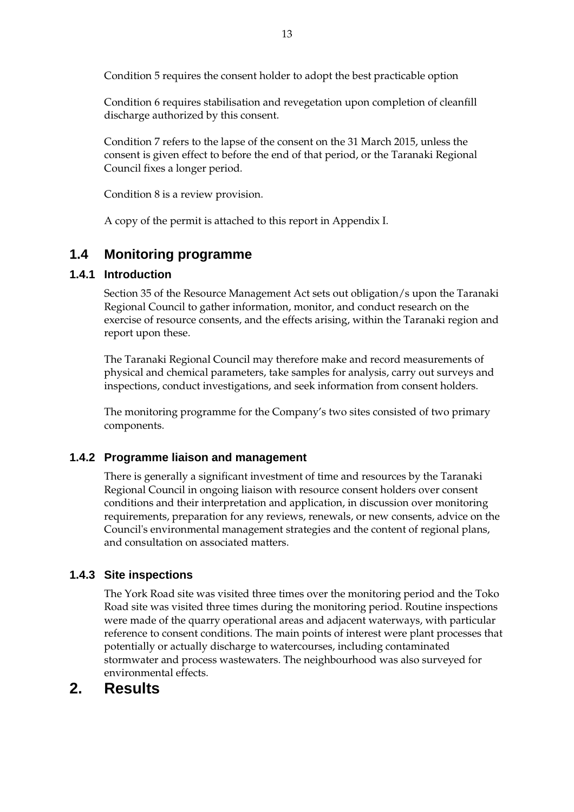Condition 5 requires the consent holder to adopt the best practicable option

Condition 6 requires stabilisation and revegetation upon completion of cleanfill discharge authorized by this consent.

Condition 7 refers to the lapse of the consent on the 31 March 2015, unless the consent is given effect to before the end of that period, or the Taranaki Regional Council fixes a longer period.

Condition 8 is a review provision.

A copy of the permit is attached to this report in Appendix I.

### **1.4 Monitoring programme**

#### **1.4.1 Introduction**

Section 35 of the Resource Management Act sets out obligation/s upon the Taranaki Regional Council to gather information, monitor, and conduct research on the exercise of resource consents, and the effects arising, within the Taranaki region and report upon these.

The Taranaki Regional Council may therefore make and record measurements of physical and chemical parameters, take samples for analysis, carry out surveys and inspections, conduct investigations, and seek information from consent holders.

The monitoring programme for the Company's two sites consisted of two primary components.

#### **1.4.2 Programme liaison and management**

There is generally a significant investment of time and resources by the Taranaki Regional Council in ongoing liaison with resource consent holders over consent conditions and their interpretation and application, in discussion over monitoring requirements, preparation for any reviews, renewals, or new consents, advice on the Council's environmental management strategies and the content of regional plans, and consultation on associated matters.

#### **1.4.3 Site inspections**

The York Road site was visited three times over the monitoring period and the Toko Road site was visited three times during the monitoring period. Routine inspections were made of the quarry operational areas and adjacent waterways, with particular reference to consent conditions. The main points of interest were plant processes that potentially or actually discharge to watercourses, including contaminated stormwater and process wastewaters. The neighbourhood was also surveyed for environmental effects.

## **2. Results**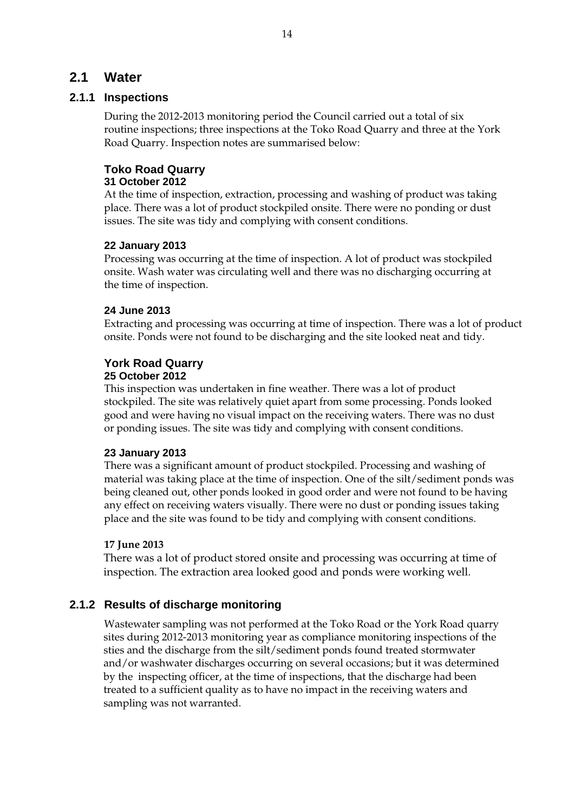### **2.1 Water**

#### **2.1.1 Inspections**

During the 2012-2013 monitoring period the Council carried out a total of six routine inspections; three inspections at the Toko Road Quarry and three at the York Road Quarry. Inspection notes are summarised below:

### **Toko Road Quarry**

#### **31 October 2012**

At the time of inspection, extraction, processing and washing of product was taking place. There was a lot of product stockpiled onsite. There were no ponding or dust issues. The site was tidy and complying with consent conditions.

#### **22 January 2013**

Processing was occurring at the time of inspection. A lot of product was stockpiled onsite. Wash water was circulating well and there was no discharging occurring at the time of inspection.

#### **24 June 2013**

Extracting and processing was occurring at time of inspection. There was a lot of product onsite. Ponds were not found to be discharging and the site looked neat and tidy.

#### **York Road Quarry**

#### **25 October 2012**

This inspection was undertaken in fine weather. There was a lot of product stockpiled. The site was relatively quiet apart from some processing. Ponds looked good and were having no visual impact on the receiving waters. There was no dust or ponding issues. The site was tidy and complying with consent conditions.

#### **23 January 2013**

There was a significant amount of product stockpiled. Processing and washing of material was taking place at the time of inspection. One of the silt/sediment ponds was being cleaned out, other ponds looked in good order and were not found to be having any effect on receiving waters visually. There were no dust or ponding issues taking place and the site was found to be tidy and complying with consent conditions.

#### **17 June 2013**

There was a lot of product stored onsite and processing was occurring at time of inspection. The extraction area looked good and ponds were working well.

#### **2.1.2 Results of discharge monitoring**

Wastewater sampling was not performed at the Toko Road or the York Road quarry sites during 2012-2013 monitoring year as compliance monitoring inspections of the sties and the discharge from the silt/sediment ponds found treated stormwater and/or washwater discharges occurring on several occasions; but it was determined by the inspecting officer, at the time of inspections, that the discharge had been treated to a sufficient quality as to have no impact in the receiving waters and sampling was not warranted.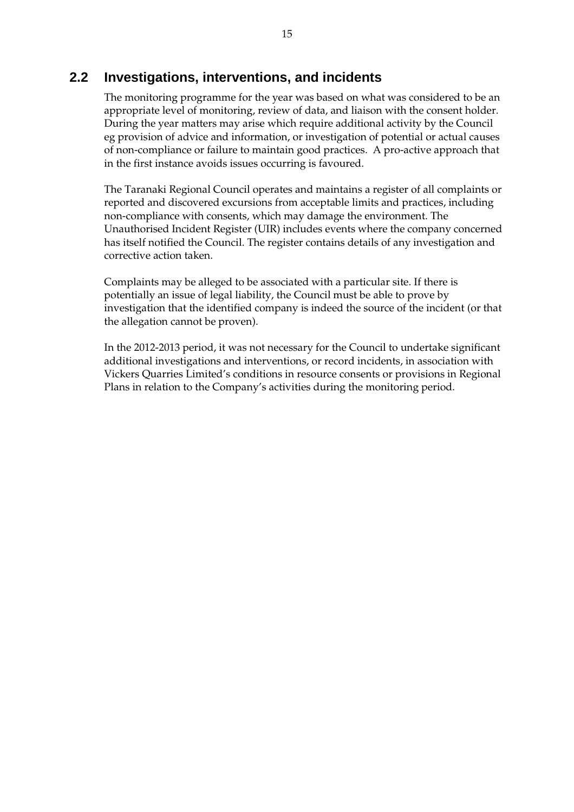### **2.2 Investigations, interventions, and incidents**

The monitoring programme for the year was based on what was considered to be an appropriate level of monitoring, review of data, and liaison with the consent holder. During the year matters may arise which require additional activity by the Council eg provision of advice and information, or investigation of potential or actual causes of non-compliance or failure to maintain good practices. A pro-active approach that in the first instance avoids issues occurring is favoured.

The Taranaki Regional Council operates and maintains a register of all complaints or reported and discovered excursions from acceptable limits and practices, including non-compliance with consents, which may damage the environment. The Unauthorised Incident Register (UIR) includes events where the company concerned has itself notified the Council. The register contains details of any investigation and corrective action taken.

Complaints may be alleged to be associated with a particular site. If there is potentially an issue of legal liability, the Council must be able to prove by investigation that the identified company is indeed the source of the incident (or that the allegation cannot be proven).

In the 2012-2013 period, it was not necessary for the Council to undertake significant additional investigations and interventions, or record incidents, in association with Vickers Quarries Limited's conditions in resource consents or provisions in Regional Plans in relation to the Company's activities during the monitoring period.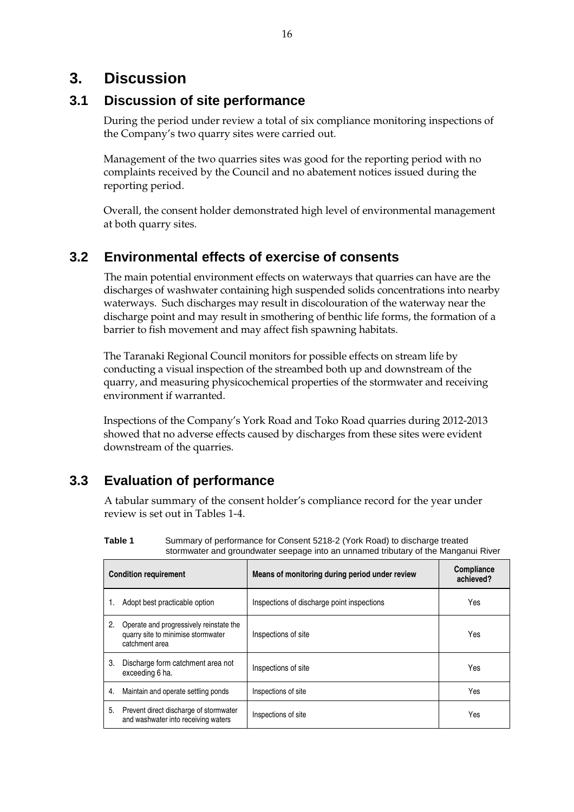### **3. Discussion**

### **3.1 Discussion of site performance**

During the period under review a total of six compliance monitoring inspections of the Company's two quarry sites were carried out.

Management of the two quarries sites was good for the reporting period with no complaints received by the Council and no abatement notices issued during the reporting period.

Overall, the consent holder demonstrated high level of environmental management at both quarry sites.

### **3.2 Environmental effects of exercise of consents**

The main potential environment effects on waterways that quarries can have are the discharges of washwater containing high suspended solids concentrations into nearby waterways. Such discharges may result in discolouration of the waterway near the discharge point and may result in smothering of benthic life forms, the formation of a barrier to fish movement and may affect fish spawning habitats.

The Taranaki Regional Council monitors for possible effects on stream life by conducting a visual inspection of the streambed both up and downstream of the quarry, and measuring physicochemical properties of the stormwater and receiving environment if warranted.

Inspections of the Company's York Road and Toko Road quarries during 2012-2013 showed that no adverse effects caused by discharges from these sites were evident downstream of the quarries.

## **3.3 Evaluation of performance**

A tabular summary of the consent holder's compliance record for the year under review is set out in Tables 1-4.

| <b>Condition requirement</b> |                                                                                                 | Means of monitoring during period under review | <b>Compliance</b><br>achieved? |
|------------------------------|-------------------------------------------------------------------------------------------------|------------------------------------------------|--------------------------------|
|                              | Adopt best practicable option                                                                   | Inspections of discharge point inspections     | Yes                            |
| 2.                           | Operate and progressively reinstate the<br>quarry site to minimise stormwater<br>catchment area | Inspections of site                            | Yes                            |
| 3.                           | Discharge form catchment area not<br>exceeding 6 ha.                                            | Inspections of site                            | Yes                            |
| 4.                           | Maintain and operate settling ponds                                                             | Inspections of site                            | Yes                            |
| 5.                           | Prevent direct discharge of stormwater<br>and washwater into receiving waters                   | Inspections of site                            | Yes                            |

**Table 1** Summary of performance for Consent 5218-2 (York Road) to discharge treated stormwater and groundwater seepage into an unnamed tributary of the Manganui River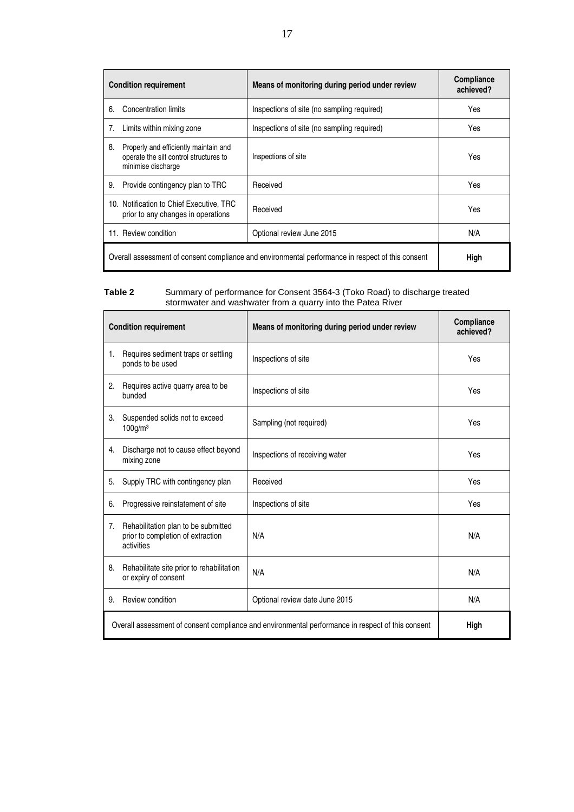| <b>Condition requirement</b>                                                                      |                                                                                                       | Means of monitoring during period under review | <b>Compliance</b><br>achieved? |
|---------------------------------------------------------------------------------------------------|-------------------------------------------------------------------------------------------------------|------------------------------------------------|--------------------------------|
| 6.                                                                                                | Concentration limits                                                                                  | Inspections of site (no sampling required)     | Yes                            |
| 7.                                                                                                | Limits within mixing zone                                                                             | Inspections of site (no sampling required)     | Yes                            |
| 8.                                                                                                | Properly and efficiently maintain and<br>operate the silt control structures to<br>minimise discharge | Inspections of site                            | Yes                            |
| 9.                                                                                                | Provide contingency plan to TRC                                                                       | Received                                       | Yes                            |
|                                                                                                   | 10. Notification to Chief Executive, TRC<br>prior to any changes in operations                        | Received                                       | Yes                            |
|                                                                                                   | 11. Review condition                                                                                  | Optional review June 2015                      | N/A                            |
| Overall assessment of consent compliance and environmental performance in respect of this consent |                                                                                                       | High                                           |                                |

#### **Table 2** Summary of performance for Consent 3564-3 (Toko Road) to discharge treated stormwater and washwater from a quarry into the Patea River

| <b>Condition requirement</b>                                                                      |                                                                                        | Means of monitoring during period under review | Compliance<br>achieved? |
|---------------------------------------------------------------------------------------------------|----------------------------------------------------------------------------------------|------------------------------------------------|-------------------------|
| 1.                                                                                                | Requires sediment traps or settling<br>ponds to be used                                | Inspections of site                            | Yes                     |
| 2.                                                                                                | Requires active quarry area to be<br>bunded                                            | Inspections of site                            | Yes                     |
| 3.                                                                                                | Suspended solids not to exceed<br>$100$ g/m <sup>3</sup>                               | Sampling (not required)                        | Yes                     |
| 4.                                                                                                | Discharge not to cause effect beyond<br>mixing zone                                    | Inspections of receiving water                 | Yes                     |
| 5.                                                                                                | Supply TRC with contingency plan                                                       | Received                                       | Yes                     |
| 6.                                                                                                | Progressive reinstatement of site                                                      | Inspections of site                            | Yes                     |
| 7.                                                                                                | Rehabilitation plan to be submitted<br>prior to completion of extraction<br>activities | N/A                                            | N/A                     |
| 8.                                                                                                | Rehabilitate site prior to rehabilitation<br>or expiry of consent                      | N/A                                            | N/A                     |
| 9.                                                                                                | Review condition                                                                       | Optional review date June 2015                 | N/A                     |
| Overall assessment of consent compliance and environmental performance in respect of this consent |                                                                                        | High                                           |                         |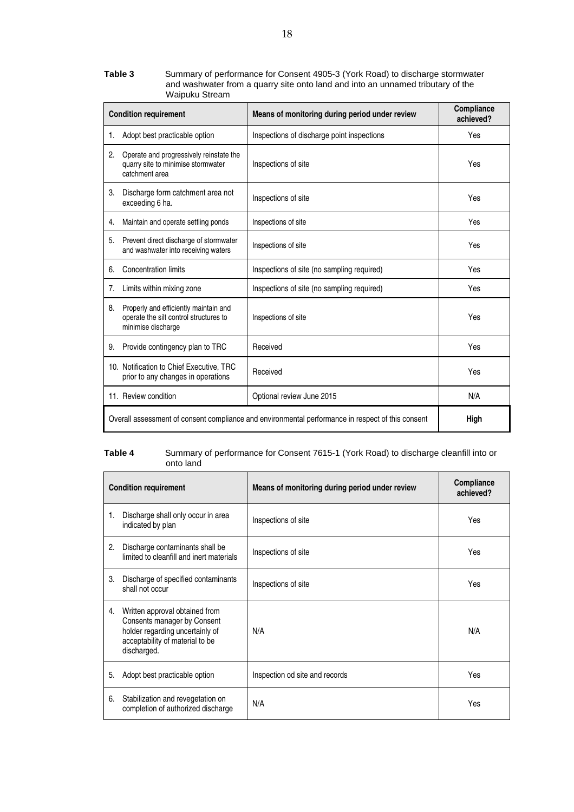**Table 3** Summary of performance for Consent 4905-3 (York Road) to discharge stormwater and washwater from a quarry site onto land and into an unnamed tributary of the Waipuku Stream

|                                                                                                   | <b>Condition requirement</b>                                                                          | Means of monitoring during period under review | Compliance<br>achieved? |
|---------------------------------------------------------------------------------------------------|-------------------------------------------------------------------------------------------------------|------------------------------------------------|-------------------------|
| 1.                                                                                                | Adopt best practicable option                                                                         | Inspections of discharge point inspections     | Yes                     |
| 2.                                                                                                | Operate and progressively reinstate the<br>quarry site to minimise stormwater<br>catchment area       | Inspections of site                            | Yes                     |
| 3.                                                                                                | Discharge form catchment area not<br>exceeding 6 ha.                                                  | Inspections of site                            | Yes                     |
| 4.                                                                                                | Maintain and operate settling ponds                                                                   | Inspections of site                            | Yes                     |
| 5.                                                                                                | Prevent direct discharge of stormwater<br>and washwater into receiving waters                         | Inspections of site                            | Yes                     |
| 6.                                                                                                | <b>Concentration limits</b>                                                                           | Inspections of site (no sampling required)     | Yes                     |
| 7.                                                                                                | Limits within mixing zone                                                                             | Inspections of site (no sampling required)     | Yes                     |
| 8.                                                                                                | Properly and efficiently maintain and<br>operate the silt control structures to<br>minimise discharge | Inspections of site                            | Yes                     |
| 9.                                                                                                | Provide contingency plan to TRC                                                                       | Received                                       | Yes                     |
|                                                                                                   | 10. Notification to Chief Executive, TRC<br>prior to any changes in operations                        | Received                                       | Yes                     |
|                                                                                                   | 11. Review condition                                                                                  | Optional review June 2015                      | N/A                     |
| Overall assessment of consent compliance and environmental performance in respect of this consent |                                                                                                       | High                                           |                         |

#### **Table 4** Summary of performance for Consent 7615-1 (York Road) to discharge cleanfill into or onto land

|    | <b>Condition requirement</b>                                                                                                                       | Means of monitoring during period under review | <b>Compliance</b><br>achieved? |
|----|----------------------------------------------------------------------------------------------------------------------------------------------------|------------------------------------------------|--------------------------------|
| 1. | Discharge shall only occur in area<br>indicated by plan                                                                                            | Inspections of site                            | Yes                            |
| 2. | Discharge contaminants shall be<br>limited to cleanfill and inert materials                                                                        | Inspections of site                            | Yes                            |
| 3. | Discharge of specified contaminants<br>shall not occur                                                                                             | Inspections of site                            | Yes                            |
| 4. | Written approval obtained from<br>Consents manager by Consent<br>holder regarding uncertainly of<br>acceptability of material to be<br>discharged. | N/A                                            | N/A                            |
| 5. | Adopt best practicable option                                                                                                                      | Inspection od site and records                 | Yes                            |
| 6. | Stabilization and revegetation on<br>completion of authorized discharge                                                                            | N/A                                            | Yes                            |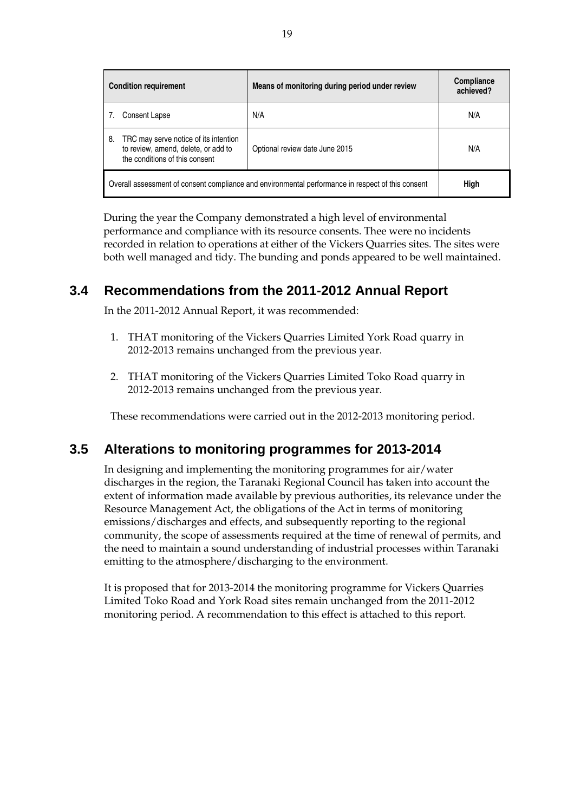| <b>Condition requirement</b>                                                                                         | Means of monitoring during period under review | Compliance<br>achieved? |
|----------------------------------------------------------------------------------------------------------------------|------------------------------------------------|-------------------------|
| Consent Lapse                                                                                                        | N/A                                            | N/A                     |
| TRC may serve notice of its intention<br>8.<br>to review, amend, delete, or add to<br>the conditions of this consent | Optional review date June 2015                 | N/A                     |
| Overall assessment of consent compliance and environmental performance in respect of this consent                    |                                                | High                    |

During the year the Company demonstrated a high level of environmental performance and compliance with its resource consents. Thee were no incidents recorded in relation to operations at either of the Vickers Quarries sites. The sites were both well managed and tidy. The bunding and ponds appeared to be well maintained.

### **3.4 Recommendations from the 2011-2012 Annual Report**

In the 2011-2012 Annual Report, it was recommended:

- 1. THAT monitoring of the Vickers Quarries Limited York Road quarry in 2012-2013 remains unchanged from the previous year.
- 2. THAT monitoring of the Vickers Quarries Limited Toko Road quarry in 2012-2013 remains unchanged from the previous year.

These recommendations were carried out in the 2012-2013 monitoring period.

### **3.5 Alterations to monitoring programmes for 2013-2014**

In designing and implementing the monitoring programmes for air/water discharges in the region, the Taranaki Regional Council has taken into account the extent of information made available by previous authorities, its relevance under the Resource Management Act, the obligations of the Act in terms of monitoring emissions/discharges and effects, and subsequently reporting to the regional community, the scope of assessments required at the time of renewal of permits, and the need to maintain a sound understanding of industrial processes within Taranaki emitting to the atmosphere/discharging to the environment.

It is proposed that for 2013-2014 the monitoring programme for Vickers Quarries Limited Toko Road and York Road sites remain unchanged from the 2011-2012 monitoring period. A recommendation to this effect is attached to this report.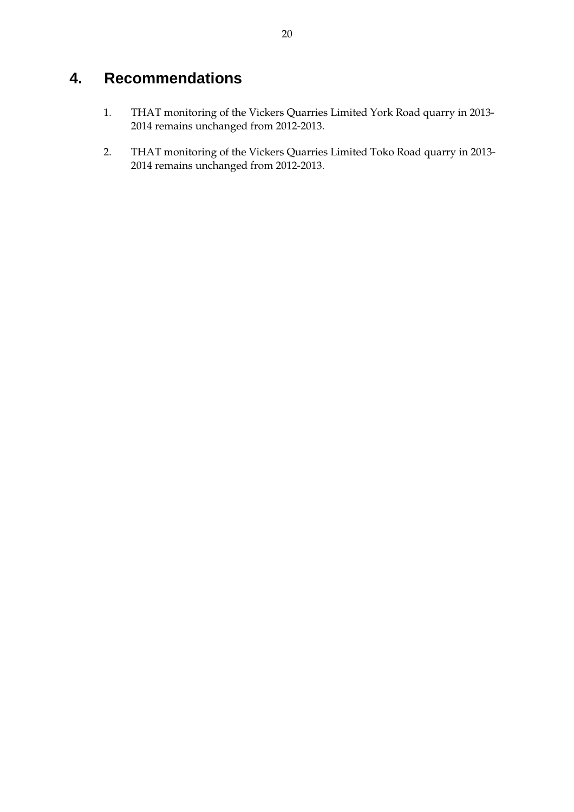# **4. Recommendations**

- 1. THAT monitoring of the Vickers Quarries Limited York Road quarry in 2013- 2014 remains unchanged from 2012-2013.
- 2. THAT monitoring of the Vickers Quarries Limited Toko Road quarry in 2013- 2014 remains unchanged from 2012-2013.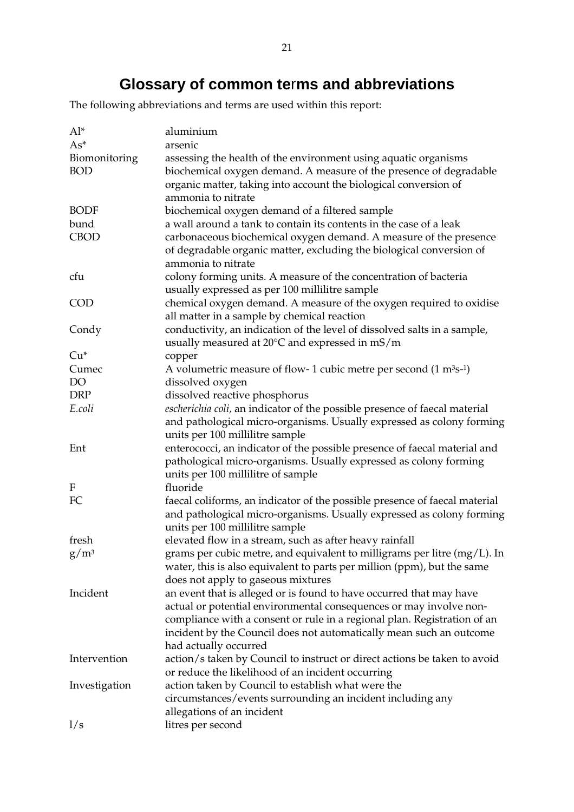# **Glossary of common te**r**ms and abbreviations**

The following abbreviations and terms are used within this report:

| $Al^*$        | aluminium                                                                          |
|---------------|------------------------------------------------------------------------------------|
| $As^*$        | arsenic                                                                            |
| Biomonitoring | assessing the health of the environment using aquatic organisms                    |
| <b>BOD</b>    | biochemical oxygen demand. A measure of the presence of degradable                 |
|               | organic matter, taking into account the biological conversion of                   |
|               | ammonia to nitrate                                                                 |
| <b>BODF</b>   | biochemical oxygen demand of a filtered sample                                     |
| bund          | a wall around a tank to contain its contents in the case of a leak                 |
| <b>CBOD</b>   | carbonaceous biochemical oxygen demand. A measure of the presence                  |
|               | of degradable organic matter, excluding the biological conversion of               |
|               | ammonia to nitrate                                                                 |
| cfu           | colony forming units. A measure of the concentration of bacteria                   |
|               | usually expressed as per 100 millilitre sample                                     |
| <b>COD</b>    | chemical oxygen demand. A measure of the oxygen required to oxidise                |
|               | all matter in a sample by chemical reaction                                        |
|               |                                                                                    |
| Condy         | conductivity, an indication of the level of dissolved salts in a sample,           |
|               | usually measured at $20^{\circ}$ C and expressed in mS/m                           |
| $Cu*$         | copper                                                                             |
| Cumec         | A volumetric measure of flow- 1 cubic metre per second $(1 \text{ m}^3\text{s-1})$ |
| DO            | dissolved oxygen                                                                   |
| <b>DRP</b>    | dissolved reactive phosphorus                                                      |
| E.coli        | escherichia coli, an indicator of the possible presence of faecal material         |
|               | and pathological micro-organisms. Usually expressed as colony forming              |
|               | units per 100 millilitre sample                                                    |
| Ent           | enterococci, an indicator of the possible presence of faecal material and          |
|               | pathological micro-organisms. Usually expressed as colony forming                  |
|               | units per 100 millilitre of sample                                                 |
| F             | fluoride                                                                           |
| FC            | faecal coliforms, an indicator of the possible presence of faecal material         |
|               | and pathological micro-organisms. Usually expressed as colony forming              |
|               | units per 100 millilitre sample                                                    |
| fresh         | elevated flow in a stream, such as after heavy rainfall                            |
| $g/m^3$       | grams per cubic metre, and equivalent to milligrams per litre $(mg/L)$ . In        |
|               | water, this is also equivalent to parts per million (ppm), but the same            |
|               | does not apply to gaseous mixtures                                                 |
| Incident      | an event that is alleged or is found to have occurred that may have                |
|               | actual or potential environmental consequences or may involve non-                 |
|               | compliance with a consent or rule in a regional plan. Registration of an           |
|               | incident by the Council does not automatically mean such an outcome                |
|               | had actually occurred                                                              |
| Intervention  | action/s taken by Council to instruct or direct actions be taken to avoid          |
|               | or reduce the likelihood of an incident occurring                                  |
| Investigation | action taken by Council to establish what were the                                 |
|               | circumstances/events surrounding an incident including any                         |
|               | allegations of an incident                                                         |
| 1/s           | litres per second                                                                  |
|               |                                                                                    |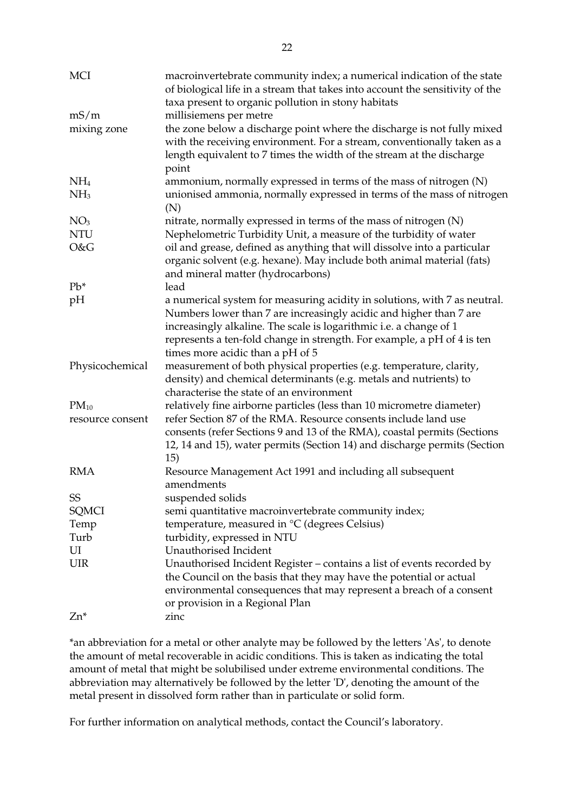| <b>MCI</b>       | macroinvertebrate community index; a numerical indication of the state<br>of biological life in a stream that takes into account the sensitivity of the                                                                                                                                          |
|------------------|--------------------------------------------------------------------------------------------------------------------------------------------------------------------------------------------------------------------------------------------------------------------------------------------------|
|                  | taxa present to organic pollution in stony habitats                                                                                                                                                                                                                                              |
| mS/m             | millisiemens per metre                                                                                                                                                                                                                                                                           |
| mixing zone      | the zone below a discharge point where the discharge is not fully mixed<br>with the receiving environment. For a stream, conventionally taken as a<br>length equivalent to 7 times the width of the stream at the discharge<br>point                                                             |
| NH <sub>4</sub>  | ammonium, normally expressed in terms of the mass of nitrogen (N)                                                                                                                                                                                                                                |
| NH <sub>3</sub>  | unionised ammonia, normally expressed in terms of the mass of nitrogen<br>(N)                                                                                                                                                                                                                    |
| NO <sub>3</sub>  | nitrate, normally expressed in terms of the mass of nitrogen (N)                                                                                                                                                                                                                                 |
| <b>NTU</b>       | Nephelometric Turbidity Unit, a measure of the turbidity of water                                                                                                                                                                                                                                |
| O&G              | oil and grease, defined as anything that will dissolve into a particular<br>organic solvent (e.g. hexane). May include both animal material (fats)<br>and mineral matter (hydrocarbons)                                                                                                          |
| $Pb^*$           | lead                                                                                                                                                                                                                                                                                             |
| pH               | a numerical system for measuring acidity in solutions, with 7 as neutral.<br>Numbers lower than 7 are increasingly acidic and higher than 7 are<br>increasingly alkaline. The scale is logarithmic i.e. a change of 1<br>represents a ten-fold change in strength. For example, a pH of 4 is ten |
|                  | times more acidic than a pH of 5                                                                                                                                                                                                                                                                 |
| Physicochemical  | measurement of both physical properties (e.g. temperature, clarity,<br>density) and chemical determinants (e.g. metals and nutrients) to<br>characterise the state of an environment                                                                                                             |
| $PM_{10}$        | relatively fine airborne particles (less than 10 micrometre diameter)                                                                                                                                                                                                                            |
| resource consent | refer Section 87 of the RMA. Resource consents include land use<br>consents (refer Sections 9 and 13 of the RMA), coastal permits (Sections                                                                                                                                                      |
|                  | 12, 14 and 15), water permits (Section 14) and discharge permits (Section<br>15)                                                                                                                                                                                                                 |
| <b>RMA</b>       | Resource Management Act 1991 and including all subsequent<br>amendments                                                                                                                                                                                                                          |
| SS               | suspended solids                                                                                                                                                                                                                                                                                 |
| SQMCI            | semi quantitative macroinvertebrate community index;                                                                                                                                                                                                                                             |
| Temp             | temperature, measured in °C (degrees Celsius)                                                                                                                                                                                                                                                    |
| Turb             | turbidity, expressed in NTU                                                                                                                                                                                                                                                                      |
| UI               | Unauthorised Incident                                                                                                                                                                                                                                                                            |
| <b>UIR</b>       | Unauthorised Incident Register – contains a list of events recorded by                                                                                                                                                                                                                           |
|                  | the Council on the basis that they may have the potential or actual<br>environmental consequences that may represent a breach of a consent<br>or provision in a Regional Plan                                                                                                                    |
| Zn*              | zinc                                                                                                                                                                                                                                                                                             |
|                  |                                                                                                                                                                                                                                                                                                  |

\*an abbreviation for a metal or other analyte may be followed by the letters 'As', to denote the amount of metal recoverable in acidic conditions. This is taken as indicating the total amount of metal that might be solubilised under extreme environmental conditions. The abbreviation may alternatively be followed by the letter 'D', denoting the amount of the metal present in dissolved form rather than in particulate or solid form.

For further information on analytical methods, contact the Council's laboratory.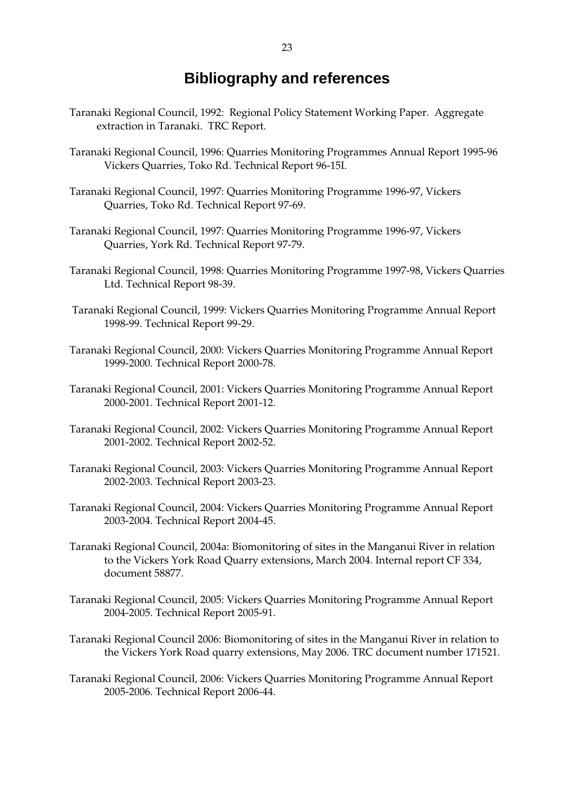## **Bibliography and references**

- Taranaki Regional Council, 1992: Regional Policy Statement Working Paper. Aggregate extraction in Taranaki. TRC Report.
- Taranaki Regional Council, 1996: Quarries Monitoring Programmes Annual Report 1995-96 Vickers Quarries, Toko Rd. Technical Report 96-15I.
- Taranaki Regional Council, 1997: Quarries Monitoring Programme 1996-97, Vickers Quarries, Toko Rd. Technical Report 97-69.
- Taranaki Regional Council, 1997: Quarries Monitoring Programme 1996-97, Vickers Quarries, York Rd. Technical Report 97-79.
- Taranaki Regional Council, 1998: Quarries Monitoring Programme 1997-98, Vickers Quarries Ltd. Technical Report 98-39.
- Taranaki Regional Council, 1999: Vickers Quarries Monitoring Programme Annual Report 1998-99. Technical Report 99-29.
- Taranaki Regional Council, 2000: Vickers Quarries Monitoring Programme Annual Report 1999-2000. Technical Report 2000-78.
- Taranaki Regional Council, 2001: Vickers Quarries Monitoring Programme Annual Report 2000-2001. Technical Report 2001-12.
- Taranaki Regional Council, 2002: Vickers Quarries Monitoring Programme Annual Report 2001-2002. Technical Report 2002-52.
- Taranaki Regional Council, 2003: Vickers Quarries Monitoring Programme Annual Report 2002-2003. Technical Report 2003-23.
- Taranaki Regional Council, 2004: Vickers Quarries Monitoring Programme Annual Report 2003-2004. Technical Report 2004-45.
- Taranaki Regional Council, 2004a: Biomonitoring of sites in the Manganui River in relation to the Vickers York Road Quarry extensions, March 2004. Internal report CF 334, document 58877.
- Taranaki Regional Council, 2005: Vickers Quarries Monitoring Programme Annual Report 2004-2005. Technical Report 2005-91.
- Taranaki Regional Council 2006: Biomonitoring of sites in the Manganui River in relation to the Vickers York Road quarry extensions, May 2006. TRC document number 171521.
- Taranaki Regional Council, 2006: Vickers Quarries Monitoring Programme Annual Report 2005-2006. Technical Report 2006-44.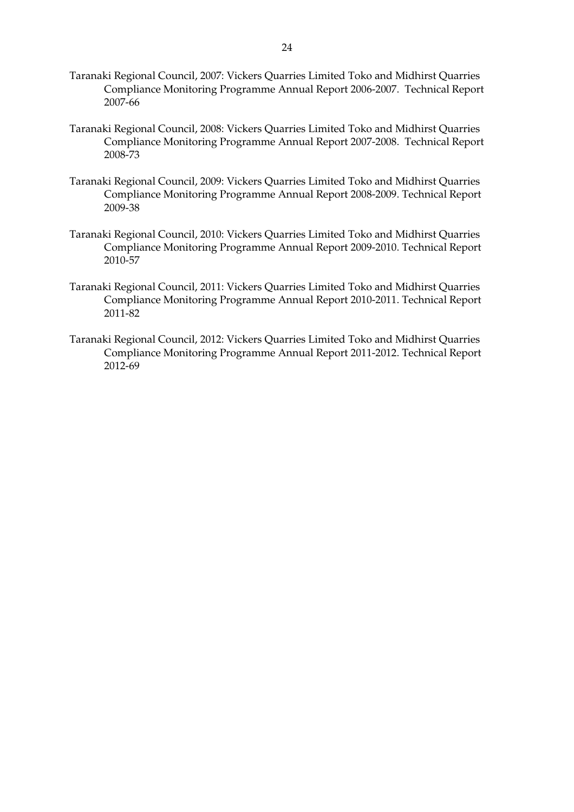- Taranaki Regional Council, 2007: Vickers Quarries Limited Toko and Midhirst Quarries Compliance Monitoring Programme Annual Report 2006-2007. Technical Report 2007-66
- Taranaki Regional Council, 2008: Vickers Quarries Limited Toko and Midhirst Quarries Compliance Monitoring Programme Annual Report 2007-2008. Technical Report 2008-73
- Taranaki Regional Council, 2009: Vickers Quarries Limited Toko and Midhirst Quarries Compliance Monitoring Programme Annual Report 2008-2009. Technical Report 2009-38
- Taranaki Regional Council, 2010: Vickers Quarries Limited Toko and Midhirst Quarries Compliance Monitoring Programme Annual Report 2009-2010. Technical Report 2010-57
- Taranaki Regional Council, 2011: Vickers Quarries Limited Toko and Midhirst Quarries Compliance Monitoring Programme Annual Report 2010-2011. Technical Report 2011-82
- Taranaki Regional Council, 2012: Vickers Quarries Limited Toko and Midhirst Quarries Compliance Monitoring Programme Annual Report 2011-2012. Technical Report 2012-69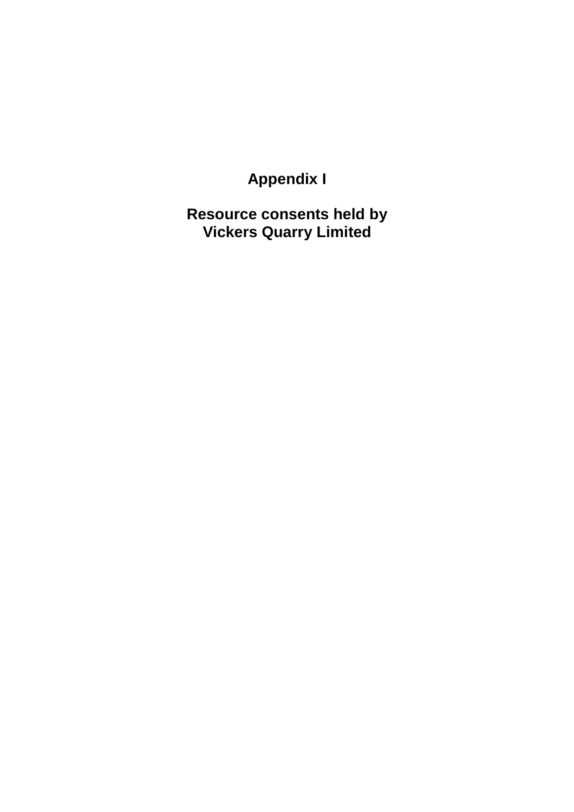**Appendix I** 

**Resource consents held by Vickers Quarry Limited**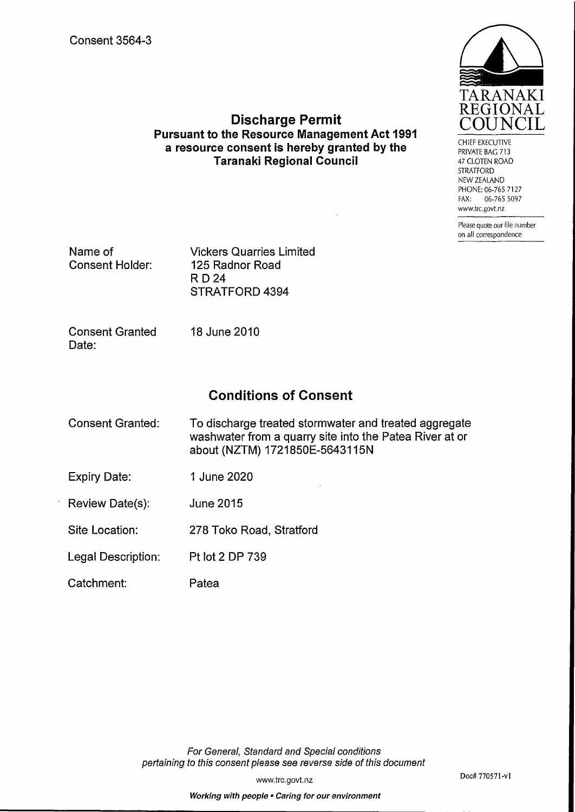

CHIEF EXECUTIVE PRIVATE BAG 713 47 CLOTEN ROAD **STRATFORD** NEW ZEALAND PHONE: 06-765 7127 FAX: 06-765 5097 www.trc.govt.nz

> Please quote our file number on all correspondence

Name of **Consent Holder:**  **Vickers Quarries Limited** 125 Radnor Road **RD24** STRATFORD 4394

**Consent Granted** Date:

18 June 2010

### **Conditions of Consent**

**Discharge Permit** 

**Pursuant to the Resource Management Act 1991** 

a resource consent is hereby granted by the

**Taranaki Regional Council** 

| Consent Granted: | To discharge treated stormwater and treated aggregate   |
|------------------|---------------------------------------------------------|
|                  | washwater from a quarry site into the Patea River at or |
|                  | about (NZTM) 1721850E-5643115N                          |

- 1 June 2020 **Expiry Date:**
- Review Date(s): **June 2015**

Site Location: 278 Toko Road, Stratford

Pt lot 2 DP 739 Legal Description:

Catchment: Patea

> For General, Standard and Special conditions pertaining to this consent please see reverse side of this document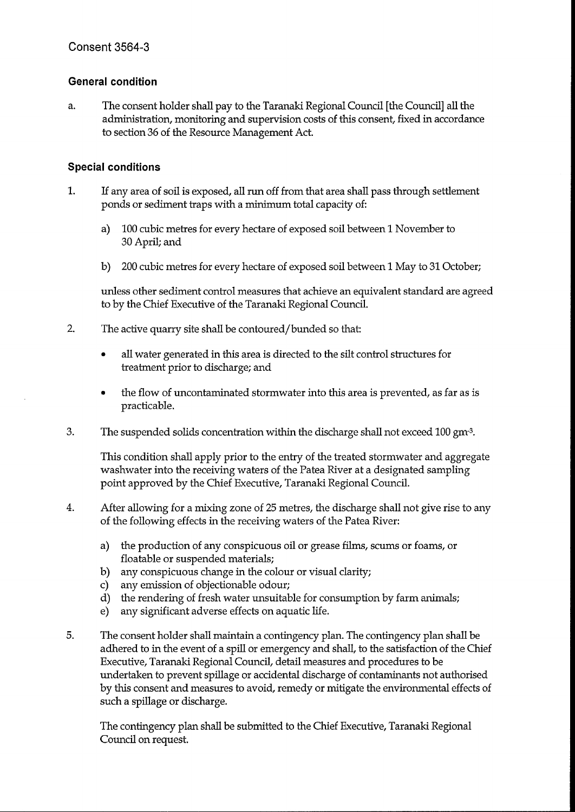#### **General condition**

The consent holder shall pay to the Taranaki Regional Council [the Council] all the a. administration, monitoring and supervision costs of this consent, fixed in accordance to section 36 of the Resource Management Act.

#### **Special conditions**

- $1.$ If any area of soil is exposed, all run off from that area shall pass through settlement ponds or sediment traps with a minimum total capacity of:
	- a) 100 cubic metres for every hectare of exposed soil between 1 November to 30 April; and
	- b) 200 cubic metres for every hectare of exposed soil between 1 May to 31 October;

unless other sediment control measures that achieve an equivalent standard are agreed to by the Chief Executive of the Taranaki Regional Council.

- $2.$ The active quarry site shall be contoured/bunded so that:
	- all water generated in this area is directed to the silt control structures for  $\bullet$ treatment prior to discharge; and
	- the flow of uncontaminated stormwater into this area is prevented, as far as is practicable.
- 3. The suspended solids concentration within the discharge shall not exceed 100 gm<sup>-3</sup>.

This condition shall apply prior to the entry of the treated stormwater and aggregate washwater into the receiving waters of the Patea River at a designated sampling point approved by the Chief Executive, Taranaki Regional Council.

- $\overline{4}$ . After allowing for a mixing zone of 25 metres, the discharge shall not give rise to any of the following effects in the receiving waters of the Patea River:
	- a) the production of any conspicuous oil or grease films, scums or foams, or floatable or suspended materials;
	- b) any conspicuous change in the colour or visual clarity;
	- c) any emission of objectionable odour;
	- d) the rendering of fresh water unsuitable for consumption by farm animals;
	- any significant adverse effects on aquatic life.  $e$ )
- 5. The consent holder shall maintain a contingency plan. The contingency plan shall be adhered to in the event of a spill or emergency and shall, to the satisfaction of the Chief Executive, Taranaki Regional Council, detail measures and procedures to be undertaken to prevent spillage or accidental discharge of contaminants not authorised by this consent and measures to avoid, remedy or mitigate the environmental effects of such a spillage or discharge.

The contingency plan shall be submitted to the Chief Executive, Taranaki Regional Council on request.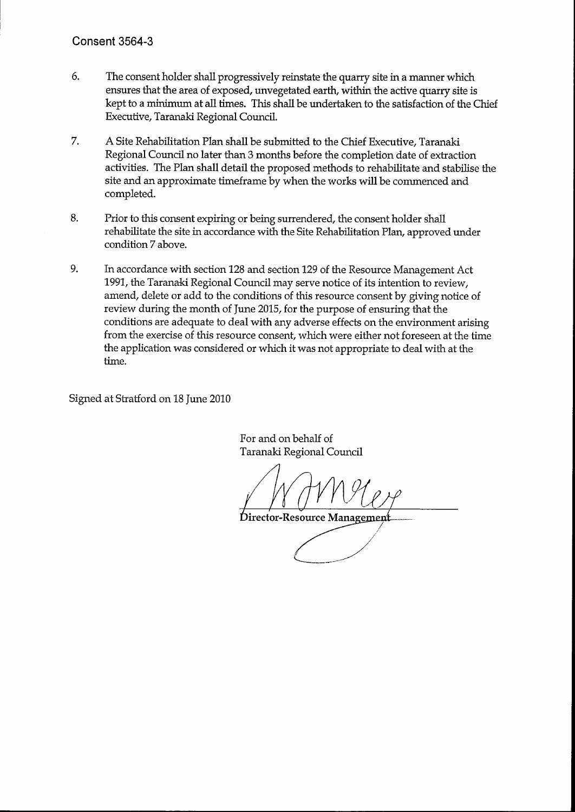- 6. The consent holder shall progressively reinstate the quarry site in a manner which ensures that the area of exposed, unvegetated earth, within the active quarry site is kept to a minimum at all times. This shall be undertaken to the satisfaction of the Chief Executive, Taranaki Regional Council.
- 7. A Site Rehabilitation Plan shall be submitted to the Chief Executive, Taranaki Regional Council no later than 3 months before the completion date of extraction activities. The Plan shall detail the proposed methods to rehabilitate and stabilise the site and an approximate timeframe by when the works will be commenced and completed.
- 8. Prior to this consent expiring or being surrendered, the consent holder shall rehabilitate the site in accordance with the Site Rehabilitation Plan, approved under condition 7 above.
- 9. In accordance with section 128 and section 129 of the Resource Management Act 1991, the Taranaki Regional Council may serve notice of its intention to review, amend, delete or add to the conditions of this resource consent by giving notice of review during the month of June 2015, for the purpose of ensuring that the conditions are adequate to deal with any adverse effects on the environment arising from the exercise of this resource consent, which were either not foreseen at the time the application was considered or which it was not appropriate to deal with at the time.

Signed at Stratford on 18 June 2010

For and on behalf of Taranaki Regional Council

Director-Resource Managemen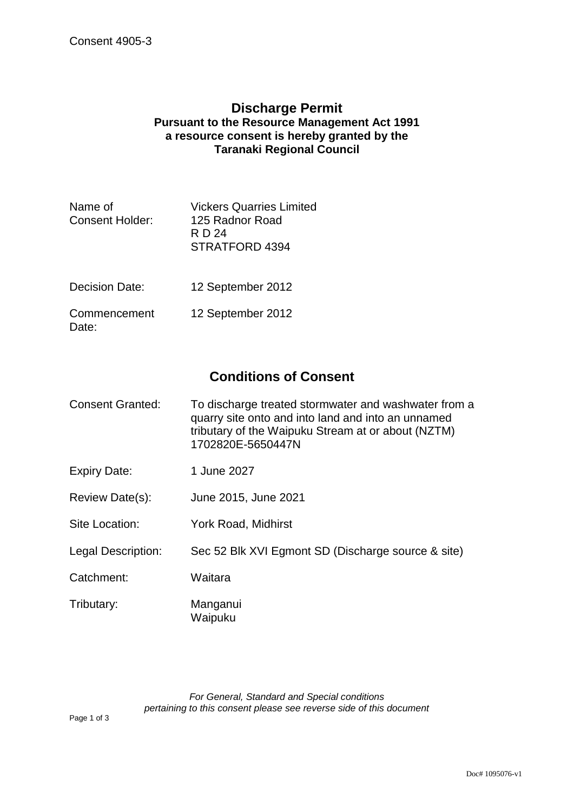### **Discharge Permit Pursuant to the Resource Management Act 1991 a resource consent is hereby granted by the Taranaki Regional Council**

| Name of<br><b>Consent Holder:</b> | <b>Vickers Quarries Limited</b><br>125 Radnor Road<br>R D 24<br><b>STRATFORD 4394</b> |
|-----------------------------------|---------------------------------------------------------------------------------------|
| Decision Date:                    | 12 September 2012                                                                     |
| Commencement<br>Date:             | 12 September 2012                                                                     |

## **Conditions of Consent**

| Consent Granted: | To discharge treated stormwater and washwater from a |
|------------------|------------------------------------------------------|
|                  | quarry site onto and into land and into an unnamed   |
|                  | tributary of the Waipuku Stream at or about (NZTM)   |
|                  | 1702820E-5650447N                                    |

- Expiry Date: 1 June 2027
- Review Date(s): June 2015, June 2021
- Site Location: York Road, Midhirst
- Legal Description: Sec 52 Blk XVI Egmont SD (Discharge source & site)
- Catchment: Waitara
- Tributary: Manganui Waipuku

*For General, Standard and Special conditions pertaining to this consent please see reverse side of this document*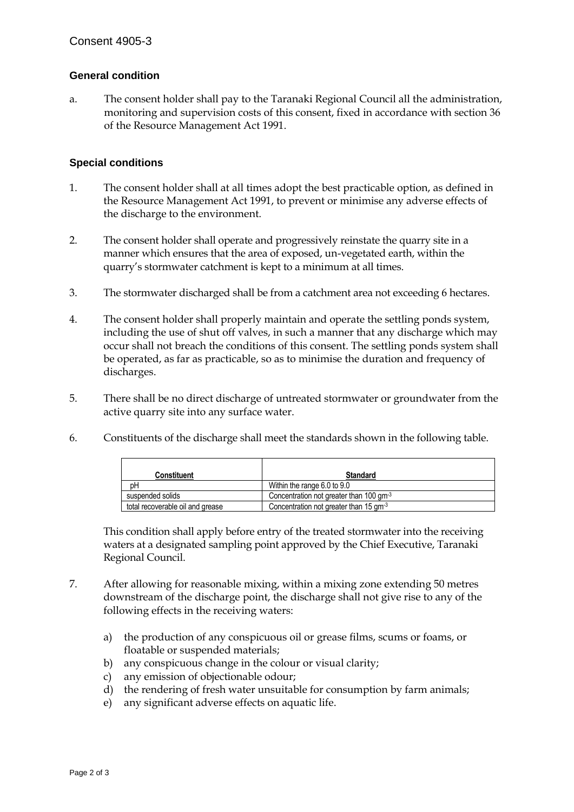#### **General condition**

a. The consent holder shall pay to the Taranaki Regional Council all the administration, monitoring and supervision costs of this consent, fixed in accordance with section 36 of the Resource Management Act 1991.

#### **Special conditions**

- 1. The consent holder shall at all times adopt the best practicable option, as defined in the Resource Management Act 1991, to prevent or minimise any adverse effects of the discharge to the environment.
- 2. The consent holder shall operate and progressively reinstate the quarry site in a manner which ensures that the area of exposed, un-vegetated earth, within the quarry's stormwater catchment is kept to a minimum at all times.
- 3. The stormwater discharged shall be from a catchment area not exceeding 6 hectares.
- 4. The consent holder shall properly maintain and operate the settling ponds system, including the use of shut off valves, in such a manner that any discharge which may occur shall not breach the conditions of this consent. The settling ponds system shall be operated, as far as practicable, so as to minimise the duration and frequency of discharges.
- 5. There shall be no direct discharge of untreated stormwater or groundwater from the active quarry site into any surface water.
- 6. Constituents of the discharge shall meet the standards shown in the following table.

| Constituent                      | <b>Standard</b>                                  |
|----------------------------------|--------------------------------------------------|
| pН                               | Within the range 6.0 to 9.0                      |
| suspended solids                 | Concentration not greater than 100 $\text{cm}^3$ |
| total recoverable oil and grease | Concentration not greater than 15 $\text{cm}^3$  |

This condition shall apply before entry of the treated stormwater into the receiving waters at a designated sampling point approved by the Chief Executive, Taranaki Regional Council.

- 7. After allowing for reasonable mixing, within a mixing zone extending 50 metres downstream of the discharge point, the discharge shall not give rise to any of the following effects in the receiving waters:
	- a) the production of any conspicuous oil or grease films, scums or foams, or floatable or suspended materials;
	- b) any conspicuous change in the colour or visual clarity;
	- c) any emission of objectionable odour;
	- d) the rendering of fresh water unsuitable for consumption by farm animals;
	- e) any significant adverse effects on aquatic life.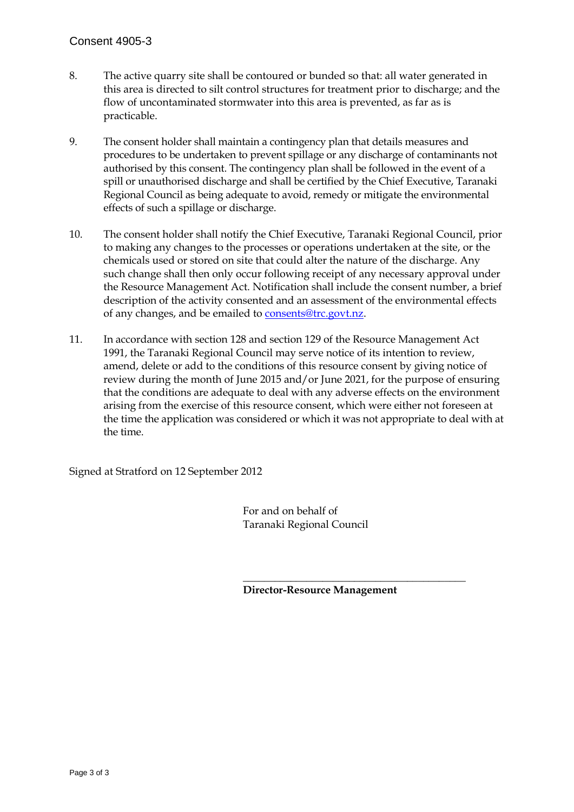- 8. The active quarry site shall be contoured or bunded so that: all water generated in this area is directed to silt control structures for treatment prior to discharge; and the flow of uncontaminated stormwater into this area is prevented, as far as is practicable.
- 9. The consent holder shall maintain a contingency plan that details measures and procedures to be undertaken to prevent spillage or any discharge of contaminants not authorised by this consent. The contingency plan shall be followed in the event of a spill or unauthorised discharge and shall be certified by the Chief Executive, Taranaki Regional Council as being adequate to avoid, remedy or mitigate the environmental effects of such a spillage or discharge.
- 10. The consent holder shall notify the Chief Executive, Taranaki Regional Council, prior to making any changes to the processes or operations undertaken at the site, or the chemicals used or stored on site that could alter the nature of the discharge. Any such change shall then only occur following receipt of any necessary approval under the Resource Management Act. Notification shall include the consent number, a brief description of the activity consented and an assessment of the environmental effects of any changes, and be emailed to consents@trc.govt.nz.
- 11. In accordance with section 128 and section 129 of the Resource Management Act 1991, the Taranaki Regional Council may serve notice of its intention to review, amend, delete or add to the conditions of this resource consent by giving notice of review during the month of June 2015 and/or June 2021, for the purpose of ensuring that the conditions are adequate to deal with any adverse effects on the environment arising from the exercise of this resource consent, which were either not foreseen at the time the application was considered or which it was not appropriate to deal with at the time.

Signed at Stratford on 12 September 2012

 For and on behalf of Taranaki Regional Council

 $\overline{\phantom{a}}$  , which is a set of the contract of the contract of the contract of the contract of the contract of the contract of the contract of the contract of the contract of the contract of the contract of the contract

**Director-Resource Management**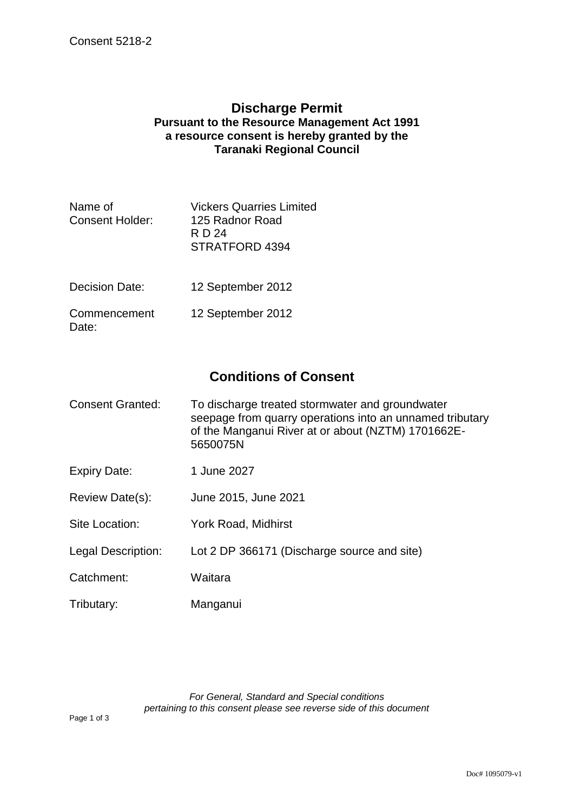### **Discharge Permit Pursuant to the Resource Management Act 1991 a resource consent is hereby granted by the Taranaki Regional Council**

| Name of<br><b>Consent Holder:</b> | <b>Vickers Quarries Limited</b><br>125 Radnor Road<br>R D 24<br>STRATFORD 4394 |
|-----------------------------------|--------------------------------------------------------------------------------|
| Decision Date:                    | 12 September 2012                                                              |
| Commencement<br>Date:             | 12 September 2012                                                              |

## **Conditions of Consent**

| Consent Granted: | To discharge treated stormwater and groundwater<br>seepage from quarry operations into an unnamed tributary<br>of the Manganui River at or about (NZTM) 1701662E-<br>5650075N |
|------------------|-------------------------------------------------------------------------------------------------------------------------------------------------------------------------------|
|                  |                                                                                                                                                                               |

- Expiry Date: 1 June 2027
- Review Date(s): June 2015, June 2021
- Site Location: York Road, Midhirst
- Legal Description: Lot 2 DP 366171 (Discharge source and site)
- Catchment: Waitara
- Tributary: Manganui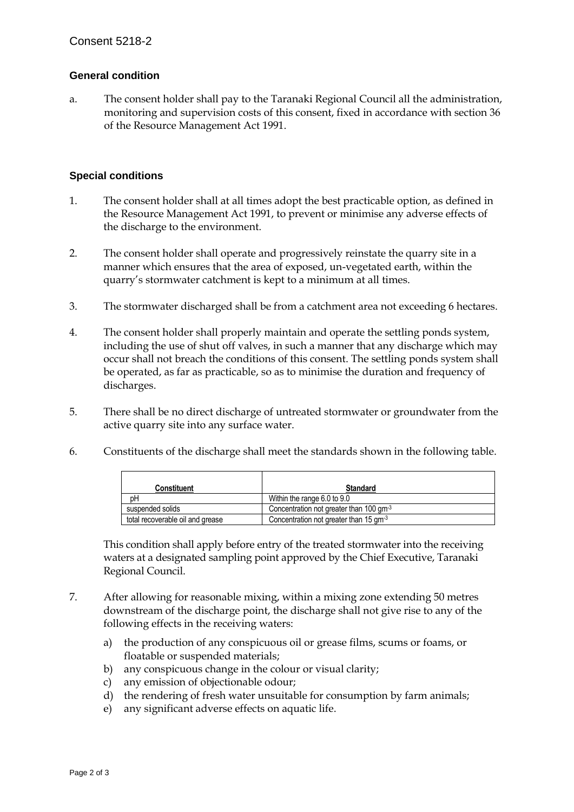#### **General condition**

a. The consent holder shall pay to the Taranaki Regional Council all the administration, monitoring and supervision costs of this consent, fixed in accordance with section 36 of the Resource Management Act 1991.

#### **Special conditions**

- 1. The consent holder shall at all times adopt the best practicable option, as defined in the Resource Management Act 1991, to prevent or minimise any adverse effects of the discharge to the environment.
- 2. The consent holder shall operate and progressively reinstate the quarry site in a manner which ensures that the area of exposed, un-vegetated earth, within the quarry's stormwater catchment is kept to a minimum at all times.
- 3. The stormwater discharged shall be from a catchment area not exceeding 6 hectares.
- 4. The consent holder shall properly maintain and operate the settling ponds system, including the use of shut off valves, in such a manner that any discharge which may occur shall not breach the conditions of this consent. The settling ponds system shall be operated, as far as practicable, so as to minimise the duration and frequency of discharges.
- 5. There shall be no direct discharge of untreated stormwater or groundwater from the active quarry site into any surface water.
- 6. Constituents of the discharge shall meet the standards shown in the following table.

| Constituent                      | <b>Standard</b>                                     |
|----------------------------------|-----------------------------------------------------|
| DΗ                               | Within the range 6.0 to 9.0                         |
| suspended solids                 | Concentration not greater than 100 gm <sup>-3</sup> |
| total recoverable oil and grease | Concentration not greater than 15 gm <sup>-3</sup>  |

This condition shall apply before entry of the treated stormwater into the receiving waters at a designated sampling point approved by the Chief Executive, Taranaki Regional Council.

- 7. After allowing for reasonable mixing, within a mixing zone extending 50 metres downstream of the discharge point, the discharge shall not give rise to any of the following effects in the receiving waters:
	- a) the production of any conspicuous oil or grease films, scums or foams, or floatable or suspended materials;
	- b) any conspicuous change in the colour or visual clarity;
	- c) any emission of objectionable odour;
	- d) the rendering of fresh water unsuitable for consumption by farm animals;
	- e) any significant adverse effects on aquatic life.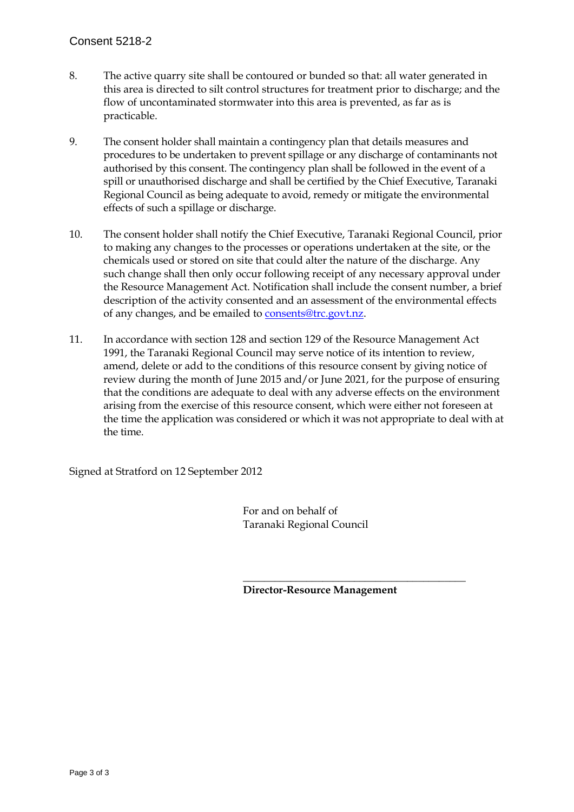- 8. The active quarry site shall be contoured or bunded so that: all water generated in this area is directed to silt control structures for treatment prior to discharge; and the flow of uncontaminated stormwater into this area is prevented, as far as is practicable.
- 9. The consent holder shall maintain a contingency plan that details measures and procedures to be undertaken to prevent spillage or any discharge of contaminants not authorised by this consent. The contingency plan shall be followed in the event of a spill or unauthorised discharge and shall be certified by the Chief Executive, Taranaki Regional Council as being adequate to avoid, remedy or mitigate the environmental effects of such a spillage or discharge.
- 10. The consent holder shall notify the Chief Executive, Taranaki Regional Council, prior to making any changes to the processes or operations undertaken at the site, or the chemicals used or stored on site that could alter the nature of the discharge. Any such change shall then only occur following receipt of any necessary approval under the Resource Management Act. Notification shall include the consent number, a brief description of the activity consented and an assessment of the environmental effects of any changes, and be emailed to consents@trc.govt.nz.
- 11. In accordance with section 128 and section 129 of the Resource Management Act 1991, the Taranaki Regional Council may serve notice of its intention to review, amend, delete or add to the conditions of this resource consent by giving notice of review during the month of June 2015 and/or June 2021, for the purpose of ensuring that the conditions are adequate to deal with any adverse effects on the environment arising from the exercise of this resource consent, which were either not foreseen at the time the application was considered or which it was not appropriate to deal with at the time.

Signed at Stratford on 12 September 2012

 For and on behalf of Taranaki Regional Council

 $\overline{\phantom{a}}$  , which is a set of the contract of the contract of the contract of the contract of the contract of the contract of the contract of the contract of the contract of the contract of the contract of the contract

**Director-Resource Management**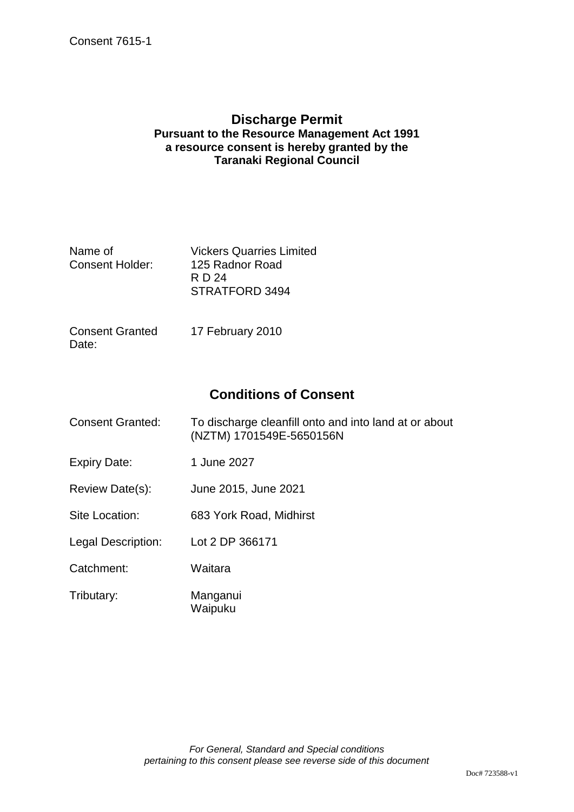### **Discharge Permit Pursuant to the Resource Management Act 1991 a resource consent is hereby granted by the Taranaki Regional Council**

| Name of                | <b>Vickers Quarries Limited</b> |
|------------------------|---------------------------------|
| <b>Consent Holder:</b> | 125 Radnor Road                 |
|                        | RD 24                           |
|                        | STRATFORD 3494                  |
|                        |                                 |

| <b>Consent Granted</b> | 17 February 2010 |
|------------------------|------------------|
| Date:                  |                  |

## **Conditions of Consent**

| <b>Consent Granted:</b> | To discharge cleanfill onto and into land at or about<br>(NZTM) 1701549E-5650156N |
|-------------------------|-----------------------------------------------------------------------------------|
| Expiry Date:            | 1 June 2027                                                                       |
| Review Date(s):         | June 2015, June 2021                                                              |
| Site Location:          | 683 York Road, Midhirst                                                           |
| Legal Description:      | Lot 2 DP 366171                                                                   |
| Catchment:              | Waitara                                                                           |
| Tributary:              | Manganui<br>Waipuku                                                               |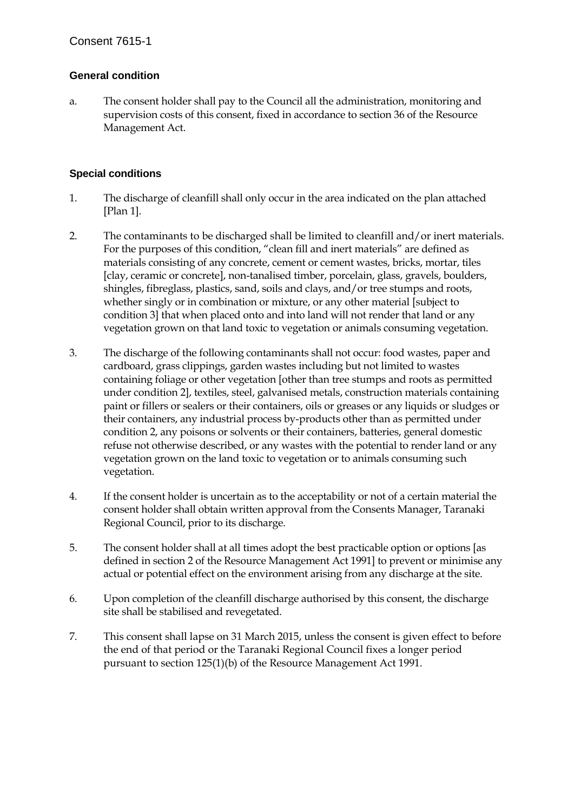#### **General condition**

a. The consent holder shall pay to the Council all the administration, monitoring and supervision costs of this consent, fixed in accordance to section 36 of the Resource Management Act.

#### **Special conditions**

- 1. The discharge of cleanfill shall only occur in the area indicated on the plan attached [Plan 1].
- 2. The contaminants to be discharged shall be limited to cleanfill and/or inert materials. For the purposes of this condition, "clean fill and inert materials" are defined as materials consisting of any concrete, cement or cement wastes, bricks, mortar, tiles [clay, ceramic or concrete], non-tanalised timber, porcelain, glass, gravels, boulders, shingles, fibreglass, plastics, sand, soils and clays, and/or tree stumps and roots, whether singly or in combination or mixture, or any other material [subject to condition 3] that when placed onto and into land will not render that land or any vegetation grown on that land toxic to vegetation or animals consuming vegetation.
- 3. The discharge of the following contaminants shall not occur: food wastes, paper and cardboard, grass clippings, garden wastes including but not limited to wastes containing foliage or other vegetation [other than tree stumps and roots as permitted under condition 2], textiles, steel, galvanised metals, construction materials containing paint or fillers or sealers or their containers, oils or greases or any liquids or sludges or their containers, any industrial process by-products other than as permitted under condition 2, any poisons or solvents or their containers, batteries, general domestic refuse not otherwise described, or any wastes with the potential to render land or any vegetation grown on the land toxic to vegetation or to animals consuming such vegetation.
- 4. If the consent holder is uncertain as to the acceptability or not of a certain material the consent holder shall obtain written approval from the Consents Manager, Taranaki Regional Council, prior to its discharge.
- 5. The consent holder shall at all times adopt the best practicable option or options [as defined in section 2 of the Resource Management Act 1991] to prevent or minimise any actual or potential effect on the environment arising from any discharge at the site.
- 6. Upon completion of the cleanfill discharge authorised by this consent, the discharge site shall be stabilised and revegetated.
- 7. This consent shall lapse on 31 March 2015, unless the consent is given effect to before the end of that period or the Taranaki Regional Council fixes a longer period pursuant to section 125(1)(b) of the Resource Management Act 1991.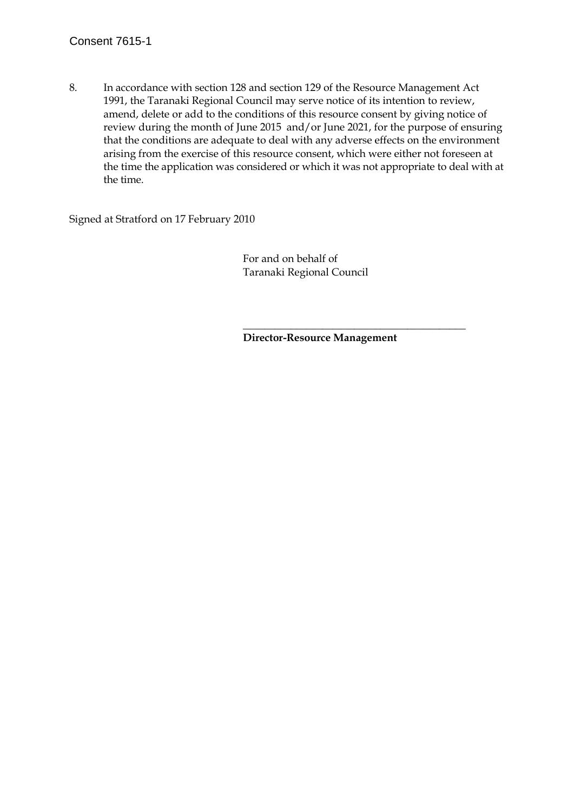#### Consent 7615-1

8. In accordance with section 128 and section 129 of the Resource Management Act 1991, the Taranaki Regional Council may serve notice of its intention to review, amend, delete or add to the conditions of this resource consent by giving notice of review during the month of June 2015 and/or June 2021, for the purpose of ensuring that the conditions are adequate to deal with any adverse effects on the environment arising from the exercise of this resource consent, which were either not foreseen at the time the application was considered or which it was not appropriate to deal with at the time.

Signed at Stratford on 17 February 2010

 For and on behalf of Taranaki Regional Council

 $\overline{\phantom{a}}$  , which is a set of the set of the set of the set of the set of the set of the set of the set of the set of the set of the set of the set of the set of the set of the set of the set of the set of the set of th

**Director-Resource Management**